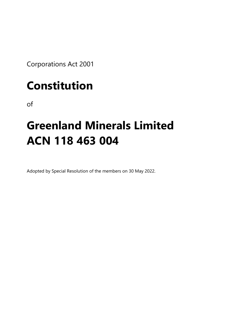Corporations Act 2001

# **Constitution**

of

# **Greenland Minerals Limited ACN 118 463 004**

Adopted by Special Resolution of the members on 30 May 2022.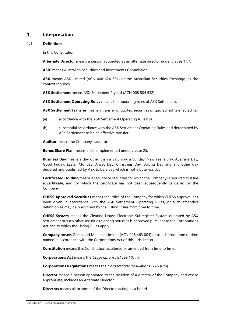#### $1.$ **Interpretation**

#### <span id="page-1-0"></span>**1.1 Definitions**

In this Constitution:

**Alternate Director** means a person appointed as an alternate director under clause [17.7.](#page-35-0)

**ASIC** means Australian Securities and Investments Commission.

**ASX** means ASX Limited (ACN 008 624 691) or the Australian Securities Exchange, as the context requires.

**ASX Settlement** means ASX Settlement Pty Ltd (ACN 008 504 532).

**ASX Settlement Operating Rules** means the operating rules of ASX Settlement.

**ASX Settlement Transfer** means a transfer of quoted securities or quoted rights effected in:

- (a) accordance with the ASX Settlement Operating Rules; or
- (b) substantial accordance with the ASX Settlement Operating Rules and determined by ASX Settlement to be an effective transfer.

**Auditor** means the Company's auditor.

**Bonus Share Plan** means a plan implemented under clause [25.](#page-44-0) 

**Business Day** means a day other than a Saturday, a Sunday, New Year's Day, Australia Day, Good Friday, Easter Monday, Anzac Day, Christmas Day, Boxing Day and any other day declared and published by ASX to be a day which is not a business day.

**Certificated Holding** means a security or securities for which the Company is required to issue a certificate, and for which the certificate has not been subsequently cancelled by the Company.

**CHESS Approved Securities** means securities of the Company for which CHESS approval has been given in accordance with the ASX Settlement Operating Rules, or such amended definition as may be prescribed by the Listing Rules from time to time.

**CHESS System** means the Clearing House Electronic Subregister System operated by ASX Settlement or such other securities clearing house as is approved pursuant to the Corporations Act and to which the Listing Rules apply.

**Company** means Greenland Minerals Limited (ACN 118 463 004) or as it is from time to time named in accordance with the Corporations Act of this jurisdiction.

**Constitution** means this Constitution as altered or amended from time to time.

**Corporations Act** means the Corporations Act <sup>2001</sup> (Cth).

**Corporations Regulations** means the Corporations Regulations 2001 (Cth).

**Director** means a person appointed to the position of a director of the Company and where appropriate, includes an Alternate Director.

**Directors** means all or some of the Directors acting as a board.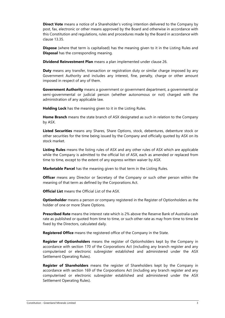**Direct Vote** means a notice of a Shareholder's voting intention delivered to the Company by post, fax, electronic or other means approved by the Board and otherwise in accordance with this Constitution and regulations, rules and procedures made by the Board in accordance with clause [13.35.](#page-27-0)

**Dispose** (where that term is capitalised) has the meaning given to it in the Listing Rules and **Disposal** has the corresponding meaning.

**Dividend Reinvestment Plan** means a plan implemented under clause [26.](#page-44-1)

**Duty** means any transfer, transaction or registration duty or similar charge imposed by any Government Authority and includes any interest, fine, penalty, charge or other amount imposed in respect of any of them.

**Government Authority** means a government or government department, a governmental or semi-governmental or judicial person (whether autonomous or not) charged with the administration of any applicable law.

**Holding Lock** has the meaning given to it in the Listing Rules.

**Home Branch** means the state branch of ASX designated as such in relation to the Company by ASX.

**Listed Securities** means any Shares, Share Options, stock, debentures, debenture stock or other securities for the time being issued by the Company and officially quoted by ASX on its stock market.

**Listing Rules** means the listing rules of ASX and any other rules of ASX which are applicable while the Company is admitted to the official list of ASX, each as amended or replaced from time to time, except to the extent of any express written waiver by ASX.

**Marketable Parcel** has the meaning given to that term in the Listing Rules.

**Officer** means any Director or Secretary of the Company or such other person within the meaning of that term as defined by the Corporations Act.

**Official List** means the Official List of the ASX.

**Optionholder** means a person or company registered in the Register of Optionholders as the holder of one or more Share Options.

**Prescribed Rate** means the interest rate which is 2% above the Reserve Bank of Australia cash rate as published or quoted from time to time, or such other rate as may from time to time be fixed by the Directors, calculated daily.

**Registered Office** means the registered office of the Company in the State.

**Register of Optionholders** means the register of Optionholders kept by the Company in accordance with section 170 of the Corporations Act (including any branch register and any computerised or electronic subregister established and administered under the ASX Settlement Operating Rules).

**Register of Shareholders** means the register of Shareholders kept by the Company in accordance with section 169 of the Corporations Act (including any branch register and any computerised or electronic subregister established and administered under the ASX Settlement Operating Rules).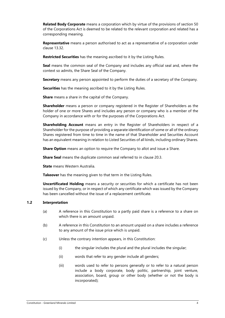**Related Body Corporate** means a corporation which by virtue of the provisions of section 50 of the Corporations Act is deemed to be related to the relevant corporation and related has a corresponding meaning.

**Representative** means a person authorised to act as a representative of a corporation under clause [13.32.](#page-26-0)

**Restricted Securities** has the meaning ascribed to it by the Listing Rules.

**Seal** means the common seal of the Company and includes any official seal and, where the context so admits, the Share Seal of the Company.

**Secretary** means any person appointed to perform the duties of a secretary of the Company.

**Securities** has the meaning ascribed to it by the Listing Rules.

**Share** means a share in the capital of the Company.

**Shareholder** means a person or company registered in the Register of Shareholders as the holder of one or more Shares and includes any person or company who is a member of the Company in accordance with or for the purposes of the Corporations Act.

**Shareholding Account** means an entry in the Register of Shareholders in respect of a Shareholder for the purpose of providing a separate identification of some or all of the ordinary Shares registered from time to time in the name of that Shareholder and Securities Account has an equivalent meaning in relation to Listed Securities of all kinds, including ordinary Shares.

**Share Option** means an option to require the Company to allot and issue a Share.

**Share Seal** means the duplicate common seal referred to in clause [20.3.](#page-40-0)

**State** means Western Australia.

**Takeover** has the meaning given to that term in the Listing Rules.

**Uncertificated Holding** means a security or securities for which a certificate has not been issued by the Company, or in respect of which any certificate which was issued by the Company has been cancelled without the issue of a replacement certificate.

# **1.2 Interpretation**

- (a) A reference in this Constitution to a partly paid share is a reference to a share on which there is an amount unpaid.
- (b) A reference in this Constitution to an amount unpaid on a share includes a reference to any amount of the issue price which is unpaid.
- (c) Unless the contrary intention appears, in this Constitution:
	- (i) the singular includes the plural and the plural includes the singular;
	- (ii) words that refer to any gender include all genders;
	- (iii) words used to refer to persons generally or to refer to a natural person include a body corporate, body politic, partnership, joint venture, association, board, group or other body (whether or not the body is incorporated);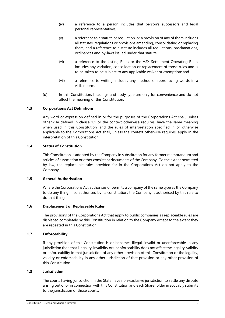- (iv) a reference to a person includes that person's successors and legal personal representatives;
- (v) a reference to a statute or regulation, or a provision of any of them includes all statutes, regulations or provisions amending, consolidating or replacing them, and a reference to a statute includes all regulations, proclamations, ordinances and by-laws issued under that statute;
- (vi) a reference to the Listing Rules or the ASX Settlement Operating Rules includes any variation, consolidation or replacement of those rules and is to be taken to be subject to any applicable waiver or exemption; and
- (vii) a reference to writing includes any method of reproducing words in a visible form.
- (d) In this Constitution, headings and body type are only for convenience and do not affect the meaning of this Constitution.

# **1.3 Corporations Act Definitions**

Any word or expression defined in or for the purposes of the Corporations Act shall, unless otherwise defined in clause [1.1](#page-1-0) or the context otherwise requires, have the same meaning when used in this Constitution, and the rules of interpretation specified in or otherwise applicable to the Corporations Act shall, unless the context otherwise requires, apply in the interpretation of this Constitution.

# **1.4 Status of Constitution**

This Constitution is adopted by the Company in substitution for any former memorandum and articles of association or other consistent documents of the Company. To the extent permitted by law, the replaceable rules provided for in the Corporations Act do not apply to the Company.

# **1.5 General Authorisation**

Where the Corporations Act authorises or permits a company of the same type as the Company to do any thing, if so authorised by its constitution, the Company is authorised by this rule to do that thing.

# **1.6 Displacement of Replaceable Rules**

The provisions of the Corporations Act that apply to public companies as replaceable rules are displaced completely by this Constitution in relation to the Company except to the extent they are repeated in this Constitution.

# **1.7 Enforceability**

If any provision of this Constitution is or becomes illegal, invalid or unenforceable in any jurisdiction then that illegality, invalidity or unenforceability does not affect the legality, validity or enforceability in that jurisdiction of any other provision of this Constitution or the legality, validity or enforceability in any other jurisdiction of that provision or any other provision of this Constitution.

#### **1.8 Jurisdiction**

The courts having jurisdiction in the State have non-exclusive jurisdiction to settle any dispute arising out of or in connection with this Constitution and each Shareholder irrevocably submits to the jurisdiction of those courts.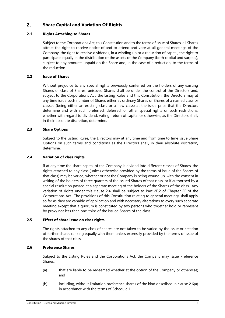#### <span id="page-5-2"></span> $2.$ **Share Capital and Variation Of Rights**

# **2.1 Rights Attaching to Shares**

Subject to the Corporations Act, this Constitution and to the terms of issue of Shares, all Shares attract the right to receive notice of and to attend and vote at all general meetings of the Company, the right to receive dividends, in a winding up or a reduction of capital, the right to participate equally in the distribution of the assets of the Company (both capital and surplus), subject to any amounts unpaid on the Share and, in the case of a reduction, to the terms of the reduction.

# **2.2 Issue of Shares**

Without prejudice to any special rights previously conferred on the holders of any existing Shares or class of Shares, unissued Shares shall be under the control of the Directors and, subject to the Corporations Act, the Listing Rules and this Constitution, the Directors may at any time issue such number of Shares either as ordinary Shares or Shares of a named class or classes (being either an existing class or a new class) at the issue price that the Directors determine and with such preferred, deferred, or other special rights or such restrictions, whether with regard to dividend, voting, return of capital or otherwise, as the Directors shall, in their absolute discretion, determine.

# **2.3 Share Options**

Subject to the Listing Rules, the Directors may at any time and from time to time issue Share Options on such terms and conditions as the Directors shall, in their absolute discretion, determine.

# <span id="page-5-0"></span>**2.4 Variation of class rights**

If at any time the share capital of the Company is divided into different classes of Shares, the rights attached to any class (unless otherwise provided by the terms of issue of the Shares of that class) may be varied, whether or not the Company is being wound up, with the consent in writing of the holders of three quarters of the issued Shares of that class, or if authorised by a special resolution passed at a separate meeting of the holders of the Shares of the class. Any variation of rights under this clause [2.4](#page-5-0) shall be subject to Part 2F.2 of Chapter 2F of the Corporations Act. The provisions of this Constitution relating to general meetings shall apply so far as they are capable of application and with necessary alterations to every such separate meeting except that a quorum is constituted by two persons who together hold or represent by proxy not less than one-third of the issued Shares of the class.

# **2.5 Effect of share issue on class rights**

The rights attached to any class of shares are not taken to be varied by the issue or creation of further shares ranking equally with them unless expressly provided by the terms of issue of the shares of that class.

# <span id="page-5-3"></span>**2.6 Preference Shares**

Subject to the Listing Rules and the Corporations Act, the Company may issue Preference Shares:

- <span id="page-5-1"></span>(a) that are liable to be redeemed whether at the option of the Company or otherwise; and
- (b) including, without limitation preference shares of the kind described in clause [2.6\(a\)](#page-5-1) in accordance with the terms of Schedule 1.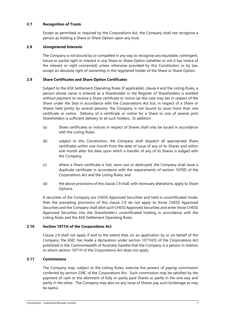# **2.7 Recognition of Trusts**

Except as permitted or required by the Corporations Act, the Company shall not recognise a person as holding a Share or Share Option upon any trust.

# **2.8 Unregistered Interests**

The Company is not bound by or compelled in any way to recognise any equitable, contingent, future or partial right or interest in any Share or Share Option (whether or not it has notice of the interest or right concerned) unless otherwise provided by this Constitution or by law, except an absolute right of ownership in the registered holder of the Share or Share Option.

# <span id="page-6-0"></span>**2.9 Share Certificates and Share Option Certificates**

Subject to the ASX Settlement Operating Rules (if applicable), clause [4](#page-8-0) and the Listing Rules, a person whose name is entered as a Shareholder in the Register of Shareholders is entitled without payment to receive a Share certificate or notice (as the case may be) in respect of the Share under the Seal in accordance with the Corporations Act but, in respect of a Share or Shares held jointly by several persons, the Company is not bound to issue more than one certificate or notice. Delivery of a certificate or notice for a Share to one of several joint Shareholders is sufficient delivery to all such holders. In addition:

- (a) Share certificates or notices in respect of Shares shall only be issued in accordance with the Listing Rules;
- (b) subject to this Constitution, the Company shall dispatch all appropriate Share certificates within one month from the date of issue of any of its Shares and within one month after the date upon which a transfer of any of its Shares is lodged with the Company;
- (c) where a Share certificate is lost, worn out or destroyed, the Company shall issue a duplicate certificate in accordance with the requirements of section 1070D of the Corporations Act and the Listing Rules; and
- (d) the above provisions of this claus[e 2.9](#page-6-0) shall, with necessary alterations, apply to Share Options.

If securities of the Company are CHESS Approved Securities and held in uncertificated mode, then the preceding provisions of this clause [2.9](#page-6-0) do not apply to those CHESS Approved Securities and the Company shall allot such CHESS Approved Securities and enter those CHESS Approved Securities into the Shareholder's uncertificated holding in accordance with the Listing Rules and the ASX Settlement Operating Rules.

# **2.10 Section 1071H of the Corporations Act**

Clause [2.9](#page-6-0) shall not apply if and to the extent that, on an application by or on behalf of the Company, the ASIC has made a declaration under section 1071H(5) of the Corporations Act published in the Commonwealth of Australia Gazette that the Company is a person in relation to whom section 1071H of the Corporations Act does not apply.

# **2.11 Commissions**

The Company may, subject to the Listing Rules, exercise the powers of paying commission conferred by section 258C of the Corporations Act. Such commission may be satisfied by the payment of cash or the allotment of fully or partly paid Shares or partly in the one way and partly in the other. The Company may also on any issue of Shares pay such brokerage as may be lawful.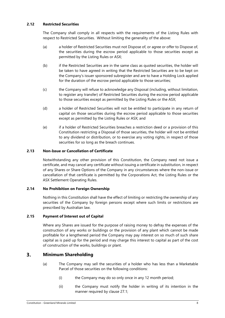# **2.12 Restricted Securities**

The Company shall comply in all respects with the requirements of the Listing Rules with respect to Restricted Securities. Without limiting the generality of the above:

- (a) a holder of Restricted Securities must not Dispose of, or agree or offer to Dispose of, the securities during the escrow period applicable to those securities except as permitted by the Listing Rules or ASX;
- (b) if the Restricted Securities are in the same class as quoted securities, the holder will be taken to have agreed in writing that the Restricted Securities are to be kept on the Company's issuer sponsored subregister and are to have a Holding Lock applied for the duration of the escrow period applicable to those securities;
- (c) the Company will refuse to acknowledge any Disposal (including, without limitation, to register any transfer) of Restricted Securities during the escrow period applicable to those securities except as permitted by the Listing Rules or the ASX;
- (d) a holder of Restricted Securities will not be entitled to participate in any return of capital on those securities during the escrow period applicable to those securities except as permitted by the Listing Rules or ASX; and
- (e) if a holder of Restricted Securities breaches a restriction deed or a provision of this Constitution restricting a Disposal of those securities, the holder will not be entitled to any dividend or distribution, or to exercise any voting rights, in respect of those securities for so long as the breach continues.

# **2.13 Non-Issue or Cancellation of Certificate**

Notwithstanding any other provision of this Constitution, the Company need not issue a certificate, and may cancel any certificate without issuing a certificate in substitution, in respect of any Shares or Share Options of the Company in any circumstances where the non-issue or cancellation of that certificate is permitted by the Corporations Act, the Listing Rules or the ASX Settlement Operating Rules.

# **2.14 No Prohibition on Foreign Ownership**

Nothing in this Constitution shall have the effect of limiting or restricting the ownership of any securities of the Company by foreign persons except where such limits or restrictions are prescribed by Australian law.

# **2.15 Payment of Interest out of Capital**

Where any Shares are issued for the purpose of raising money to defray the expenses of the construction of any works or buildings or the provision of any plant which cannot be made profitable for a lengthened period the Company may pay interest on so much of such share capital as is paid up for the period and may charge this interest to capital as part of the cost of construction of the works, buildings or plant.

#### <span id="page-7-1"></span><span id="page-7-0"></span> $\overline{\mathbf{3}}$ . **Minimum Shareholding**

- (a) The Company may sell the securities of a holder who has less than a Marketable Parcel of those securities on the following conditions:
	- (i) the Company may do so only once in any 12 month period;
	- (ii) the Company must notify the holder in writing of its intention in the manner required by clause [27.1;](#page-45-0)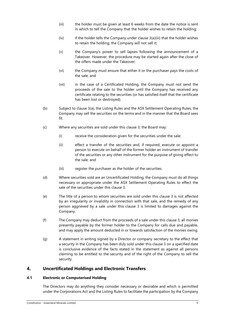- <span id="page-8-1"></span>(iii) the holder must be given at least 6 weeks from the date the notice is sent in which to tell the Company that the holder wishes to retain the holding;
- $(iv)$  if the holder tells the Company under clause  $3(a)(iii)$  that the holder wishes to retain the holding, the Company will not sell it;
- (v) the Company's power to sell lapses following the announcement of a Takeover. However, the procedure may be started again after the close of the offers made under the Takeover;
- (vi) the Company must ensure that either it or the purchaser pays the costs of the sale; and
- (vii) in the case of a Certificated Holding, the Company must not send the proceeds of the sale to the holder until the Company has received any certificate relating to the securities (or has satisfied itself that the certificate has been lost or destroyed).
- (b) Subject to claus[e 3\(a\),](#page-7-0) the Listing Rules and the ASX Settlement Operating Rules, the Company may sell the securities on the terms and in the manner that the Board sees fit.
- (c) Where any securities are sold under this clause [3,](#page-7-1) the Board may:
	- (i) receive the consideration given for the securities under the sale;
	- (ii) effect a transfer of the securities and, if required, execute or appoint a person to execute on behalf of the former holder an instrument of transfer of the securities or any other instrument for the purpose of giving effect to the sale; and
	- (iii) register the purchaser as the holder of the securities.
- (d) Where securities sold are an Uncertificated Holding, the Company must do all things necessary or appropriate under the ASX Settlement Operating Rules to effect the sale of the securities under this clause [3.](#page-7-1)
- (e) The title of a person to whom securities are sold under this clause [3](#page-7-1) is not affected by an irregularity or invalidity in connection with that sale, and the remedy of any person aggrieved by a sale under this clause [3](#page-7-1) is limited to damages against the Company.
- (f) The Company may deduct from the proceeds of a sale under this clause [3,](#page-7-1) all monies presently payable by the former holder to the Company for calls due and payable, and may apply the amount deducted in or towards satisfaction of the monies owing.
- (g) A statement in writing signed by a Director or company secretary to the effect that a security in the Company has been duly sold under this clause [3](#page-7-1) on a specified date is conclusive evidence of the facts stated in the statement as against all persons claiming to be entitled to the security and of the right of the Company to sell the security.

#### <span id="page-8-0"></span> $\boldsymbol{4}$ . **Uncertificated Holdings and Electronic Transfers**

# **4.1 Electronic or Computerised Holding**

The Directors may do anything they consider necessary or desirable and which is permitted under the Corporations Act and the Listing Rules to facilitate the participation by the Company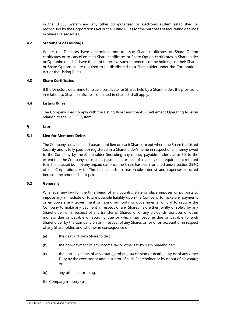in the CHESS System and any other computerised or electronic system established or recognised by the Corporations Act or the Listing Rules for the purposes of facilitating dealings in Shares or securities.

# **4.2 Statement of Holdings**

Where the Directors have determined not to issue Share certificates or Share Option certificates or to cancel existing Share certificates or Share Option certificates, a Shareholder or Optionholder shall have the right to receive such statements of the holdings of their Shares or Share Options as are required to be distributed to a Shareholder under the Corporations Act or the Listing Rules.

# **4.3 Share Certificates**

If the Directors determine to issue a certificate for Shares held by a Shareholder, the provisions in relation to Share certificates contained in clause [2](#page-5-2) shall apply.

# **4.4 Listing Rules**

The Company shall comply with the Listing Rules and the ASX Settlement Operating Rules in relation to the CHESS System.

#### <span id="page-9-1"></span> $5<sub>1</sub>$ **Lien**

# **5.1 Lien for Members Debts**

The Company has a first and paramount lien on each Share (except where the Share is a Listed Security and is fully paid up) registered in a Shareholder's name in respect of all money owed to the Company by the Shareholder (including any money payable under clause [5.2](#page-9-0) to the extent that the Company has made a payment in respect of a liability or a requirement referred to in that clause) but not any unpaid call once the Share has been forfeited under section 254Q of the Corporations Act. The lien extends to reasonable interest and expenses incurred because the amount is not paid.

# <span id="page-9-0"></span>**5.2 Generally**

Whenever any law for the time being of any country, state or place imposes or purports to impose any immediate or future possible liability upon the Company to make any payments or empowers any government or taxing authority or governmental official to require the Company to make any payment in respect of any Shares held either jointly or solely by any Shareholder, or in respect of any transfer of Shares, or of any dividends, bonuses or other moneys due or payable or accruing due or which may become due or payable to such Shareholder by the Company on or in respect of any Shares or for or on account or in respect of any Shareholder, and whether in consequence of:

- (a) the death of such Shareholder;
- (b) the non-payment of any income tax or other tax by such Shareholder;
- (c) the non-payments of any estate, probate, succession or death, duty or of any other Duty by the executor or administrator of such Shareholder or by or out of his estate; or
- (d) any other act or thing,

the Company in every case: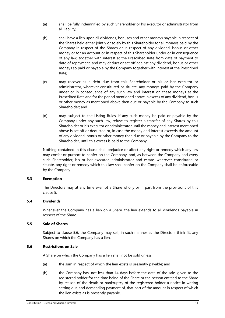- (a) shall be fully indemnified by such Shareholder or his executor or administrator from all liability;
- (b) shall have a lien upon all dividends, bonuses and other moneys payable in respect of the Shares held either jointly or solely by this Shareholder for all moneys paid by the Company in respect of the Shares or in respect of any dividend, bonus or other money or for an account or in respect of this Shareholder under or in consequence of any law, together with interest at the Prescribed Rate from date of payment to date of repayment, and may deduct or set off against any dividend, bonus or other moneys so paid or payable by the Company together with interest at the Prescribed Rate;
- (c) may recover as a debt due from this Shareholder or his or her executor or administrator, wherever constituted or situate, any moneys paid by the Company under or in consequence of any such law and interest on these moneys at the Prescribed Rate and for the period mentioned above in excess of any dividend, bonus or other money as mentioned above then due or payable by the Company to such Shareholder; and
- (d) may, subject to the Listing Rules, if any such money be paid or payable by the Company under any such law, refuse to register a transfer of any Shares by this Shareholder or his executor or administrator until the money and interest mentioned above is set off or deducted or, in case the money and interest exceeds the amount of any dividend, bonus or other money then due or payable by the Company to the Shareholder, until this excess is paid to the Company.

Nothing contained in this clause shall prejudice or affect any right or remedy which any law may confer or purport to confer on the Company, and, as between the Company and every such Shareholder, his or her executor, administrator and estate, wherever constituted or situate, any right or remedy which this law shall confer on the Company shall be enforceable by the Company.

# **5.3 Exemption**

The Directors may at any time exempt a Share wholly or in part from the provisions of this clause [5.](#page-9-1)

# **5.4 Dividends**

Whenever the Company has a lien on a Share, the lien extends to all dividends payable in respect of the Share.

# <span id="page-10-1"></span>**5.5 Sale of Shares**

Subject to clause [5.6,](#page-10-0) the Company may sell, in such manner as the Directors think fit, any Shares on which the Company has a lien.

# <span id="page-10-0"></span>**5.6 Restrictions on Sale**

A Share on which the Company has a lien shall not be sold unless:

- (a) the sum in respect of which the lien exists is presently payable; and
- (b) the Company has, not less than 14 days before the date of the sale, given to the registered holder for the time being of the Share or the person entitled to the Share by reason of the death or bankruptcy of the registered holder a notice in writing setting out, and demanding payment of, that part of the amount in respect of which the lien exists as is presently payable.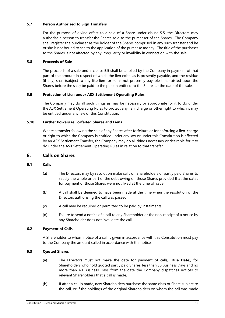# **5.7 Person Authorised to Sign Transfers**

For the purpose of giving effect to a sale of a Share under clause [5.5,](#page-10-1) the Directors may authorise a person to transfer the Shares sold to the purchaser of the Shares. The Company shall register the purchaser as the holder of the Shares comprised in any such transfer and he or she is not bound to see to the application of the purchase money. The title of the purchaser to the Shares is not affected by any irregularity or invalidity in connection with the sale.

# **5.8 Proceeds of Sale**

The proceeds of a sale under clause [5.5](#page-10-1) shall be applied by the Company in payment of that part of the amount in respect of which the lien exists as is presently payable, and the residue (if any) shall (subject to any like lien for sums not presently payable that existed upon the Shares before the sale) be paid to the person entitled to the Shares at the date of the sale.

# **5.9 Protection of Lien under ASX Settlement Operating Rules**

The Company may do all such things as may be necessary or appropriate for it to do under the ASX Settlement Operating Rules to protect any lien, charge or other right to which it may be entitled under any law or this Constitution.

# **5.10 Further Powers re Forfeited Shares and Liens**

Where a transfer following the sale of any Shares after forfeiture or for enforcing a lien, charge or right to which the Company is entitled under any law or under this Constitution is effected by an ASX Settlement Transfer, the Company may do all things necessary or desirable for it to do under the ASX Settlement Operating Rules in relation to that transfer.

#### <span id="page-11-0"></span>**Calls on Shares** 6.

# **6.1 Calls**

- (a) The Directors may by resolution make calls on Shareholders of partly paid Shares to satisfy the whole or part of the debt owing on those Shares provided that the dates for payment of those Shares were not fixed at the time of issue.
- (b) A call shall be deemed to have been made at the time when the resolution of the Directors authorising the call was passed.
- (c) A call may be required or permitted to be paid by instalments.
- (d) Failure to send a notice of a call to any Shareholder or the non-receipt of a notice by any Shareholder does not invalidate the call.

# **6.2 Payment of Calls**

A Shareholder to whom notice of a call is given in accordance with this Constitution must pay to the Company the amount called in accordance with the notice.

# **6.3 Quoted Shares**

- (a) The Directors must not make the date for payment of calls, (**Due Date**), for Shareholders who hold quoted partly paid Shares, less than 30 Business Days and no more than 40 Business Days from the date the Company dispatches notices to relevant Shareholders that a call is made.
- (b) If after a call is made, new Shareholders purchase the same class of Share subject to the call, or if the holdings of the original Shareholders on whom the call was made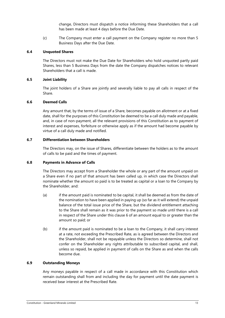change, Directors must dispatch a notice informing these Shareholders that a call has been made at least 4 days before the Due Date.

(c) The Company must enter a call payment on the Company register no more than 5 Business Days after the Due Date.

#### **6.4 Unquoted Shares**

The Directors must not make the Due Date for Shareholders who hold unquoted partly paid Shares, less than 5 Business Days from the date the Company dispatches notices to relevant Shareholders that a call is made.

#### **6.5 Joint Liability**

The joint holders of a Share are jointly and severally liable to pay all calls in respect of the Share.

#### **6.6 Deemed Calls**

Any amount that, by the terms of issue of a Share, becomes payable on allotment or at a fixed date, shall for the purposes of this Constitution be deemed to be a call duly made and payable, and, in case of non-payment, all the relevant provisions of this Constitution as to payment of interest and expenses, forfeiture or otherwise apply as if the amount had become payable by virtue of a call duly made and notified.

# **6.7 Differentiation between Shareholders**

The Directors may, on the issue of Shares, differentiate between the holders as to the amount of calls to be paid and the times of payment.

#### **6.8 Payments in Advance of Calls**

The Directors may accept from a Shareholder the whole or any part of the amount unpaid on a Share even if no part of that amount has been called up, in which case the Directors shall nominate whether the amount so paid is to be treated as capital or a loan to the Company by the Shareholder, and:

- (a) if the amount paid is nominated to be capital, it shall be deemed as from the date of the nomination to have been applied in paying up (so far as it will extend) the unpaid balance of the total issue price of the Share, but the dividend entitlement attaching to the Share shall remain as it was prior to the payment so made until there is a call in respect of the Share under this clause [6](#page-11-0) of an amount equal to or greater than the amount so paid; or
- (b) if the amount paid is nominated to be a loan to the Company, it shall carry interest at a rate, not exceeding the Prescribed Rate, as is agreed between the Directors and the Shareholder, shall not be repayable unless the Directors so determine, shall not confer on the Shareholder any rights attributable to subscribed capital, and shall, unless so repaid, be applied in payment of calls on the Share as and when the calls become due.

# **6.9 Outstanding Moneys**

Any moneys payable in respect of a call made in accordance with this Constitution which remain outstanding shall from and including the day for payment until the date payment is received bear interest at the Prescribed Rate.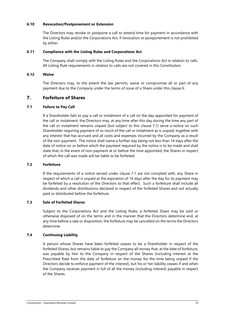# **6.10 Revocation/Postponement or Extension**

The Directors may revoke or postpone a call or extend time for payment in accordance with the Listing Rules and/or the Corporations Act, if revocation or postponement is not prohibited by either.

# **6.11 Compliance with the Listing Rules and Corporations Act**

The Company shall comply with the Listing Rules and the Corporations Act in relation to calls. All Listing Rule requirements in relation to calls are not covered in this Constitution.

# **6.12 Waive**

The Directors may, to the extent the law permits, waive or compromise all or part of any payment due to the Company under the terms of issue of a Share under this clause [6.](#page-11-0)

#### <span id="page-13-1"></span> $\overline{7}$ . **Forfeiture of Shares**

# <span id="page-13-0"></span>**7.1 Failure to Pay Call**

If a Shareholder fails to pay a call or instalment of a call on the day appointed for payment of the call or instalment, the Directors may, at any time after this day during the time any part of the call or instalment remains unpaid (but subject to this clause [7.1\)](#page-13-0) serve a notice on such Shareholder requiring payment of so much of the call or instalment as is unpaid, together with any interest that has accrued and all costs and expenses incurred by the Company as a result of the non-payment. The notice shall name a further day being not less than 14 days after the date of notice on or before which the payment required by the notice is to be made and shall state that, in the event of non-payment at or before the time appointed, the Shares in respect of which the call was made will be liable to be forfeited.

# **7.2 Forfeiture**

If the requirements of a notice served under clause [7.1](#page-13-0) are not complied with, any Share in respect of which a call is unpaid at the expiration of 14 days after the day for its payment may be forfeited by a resolution of the Directors to that effect. Such a forfeiture shall include all dividends and other distributions declared in respect of the forfeited Shares and not actually paid or distributed before the forfeiture.

# **7.3 Sale of Forfeited Shares**

Subject to the Corporations Act and the Listing Rules, a forfeited Share may be sold or otherwise disposed of on the terms and in the manner that the Directors determine and, at any time before a sale or disposition, the forfeiture may be cancelled on the terms the Directors determine.

# **7.4 Continuing Liability**

A person whose Shares have been forfeited ceases to be a Shareholder in respect of the forfeited Shares, but remains liable to pay the Company all money that, at the date of forfeiture, was payable by him to the Company in respect of the Shares (including interest at the Prescribed Rate from the date of forfeiture on the money for the time being unpaid if the Directors decide to enforce payment of the interest), but his or her liability ceases if and when the Company receives payment in full of all the money (including interest) payable in respect of the Shares.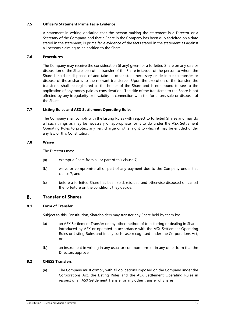# **7.5 Officer's Statement Prima Facie Evidence**

A statement in writing declaring that the person making the statement is a Director or a Secretary of the Company, and that a Share in the Company has been duly forfeited on a date stated in the statement, is prima facie evidence of the facts stated in the statement as against all persons claiming to be entitled to the Share.

# **7.6 Procedures**

The Company may receive the consideration (if any) given for a forfeited Share on any sale or disposition of the Share, execute a transfer of the Share in favour of the person to whom the Share is sold or disposed of and take all other steps necessary or desirable to transfer or dispose of those shares to the relevant transferee. Upon the execution of the transfer, the transferee shall be registered as the holder of the Share and is not bound to see to the application of any money paid as consideration. The title of the transferee to the Share is not affected by any irregularity or invalidity in connection with the forfeiture, sale or disposal of the Share.

# **7.7 Listing Rules and ASX Settlement Operating Rules**

The Company shall comply with the Listing Rules with respect to forfeited Shares and may do all such things as may be necessary or appropriate for it to do under the ASX Settlement Operating Rules to protect any lien, charge or other right to which it may be entitled under any law or this Constitution.

# **7.8 Waive**

The Directors may:

- (a) exempt a Share from all or part of this clause [7;](#page-13-1)
- (b) waive or compromise all or part of any payment due to the Company under this clause [7;](#page-13-1) and
- (c) before a forfeited Share has been sold, reissued and otherwise disposed of, cancel the forfeiture on the conditions they decide.

#### <span id="page-14-1"></span> $\mathbf{8}$ **Transfer of Shares**

# **8.1 Form of Transfer**

Subject to this Constitution, Shareholders may transfer any Share held by them by:

- (a) an ASX Settlement Transfer or any other method of transferring or dealing in Shares introduced by ASX or operated in accordance with the ASX Settlement Operating Rules or Listing Rules and in any such case recognised under the Corporations Act; or
- (b) an instrument in writing in any usual or common form or in any other form that the Directors approve.

# <span id="page-14-0"></span>**8.2 CHESS Transfers**

(a) The Company must comply with all obligations imposed on the Company under the Corporations Act, the Listing Rules and the ASX Settlement Operating Rules in respect of an ASX Settlement Transfer or any other transfer of Shares.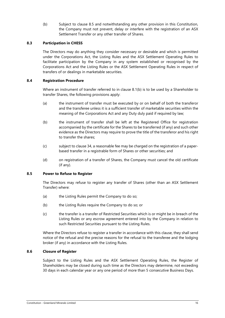(b) Subject to clause [8.5](#page-15-0) and notwithstanding any other provision in this Constitution, the Company must not prevent, delay or interfere with the registration of an ASX Settlement Transfer or any other transfer of Shares.

# **8.3 Participation in CHESS**

The Directors may do anything they consider necessary or desirable and which is permitted under the Corporations Act, the Listing Rules and the ASX Settlement Operating Rules to facilitate participation by the Company in any system established or recognised by the Corporations Act and the Listing Rules or the ASX Settlement Operating Rules in respect of transfers of or dealings in marketable securities.

# **8.4 Registration Procedure**

Where an instrument of transfer referred to in clause [8.1\(b\)](#page-14-0) is to be used by a Shareholder to transfer Shares, the following provisions apply:

- (a) the instrument of transfer must be executed by or on behalf of both the transferor and the transferee unless it is a sufficient transfer of marketable securities within the meaning of the Corporations Act and any Duty duly paid if required by law;
- (b) the instrument of transfer shall be left at the Registered Office for registration accompanied by the certificate for the Shares to be transferred (if any) and such other evidence as the Directors may require to prove the title of the transferor and his right to transfer the shares;
- (c) subject to clause [34,](#page-50-0) a reasonable fee may be charged on the registration of a paperbased transfer in a registrable form of Shares or other securities; and
- (d) on registration of a transfer of Shares, the Company must cancel the old certificate (if any).

# <span id="page-15-0"></span>**8.5 Power to Refuse to Register**

The Directors may refuse to register any transfer of Shares (other than an ASX Settlement Transfer) where:

- (a) the Listing Rules permit the Company to do so;
- (b) the Listing Rules require the Company to do so; or
- (c) the transfer is a transfer of Restricted Securities which is or might be in breach of the Listing Rules or any escrow agreement entered into by the Company in relation to such Restricted Securities pursuant to the Listing Rules.

Where the Directors refuse to register a transfer in accordance with this clause, they shall send notice of the refusal and the precise reasons for the refusal to the transferee and the lodging broker (if any) in accordance with the Listing Rules.

# **8.6 Closure of Register**

Subject to the Listing Rules and the ASX Settlement Operating Rules, the Register of Shareholders may be closed during such time as the Directors may determine, not exceeding 30 days in each calendar year or any one period of more than 5 consecutive Business Days.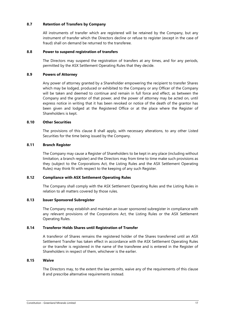# **8.7 Retention of Transfers by Company**

All instruments of transfer which are registered will be retained by the Company, but any instrument of transfer which the Directors decline or refuse to register (except in the case of fraud) shall on demand be returned to the transferee.

# **8.8 Power to suspend registration of transfers**

The Directors may suspend the registration of transfers at any times, and for any periods, permitted by the ASX Settlement Operating Rules that they decide.

# **8.9 Powers of Attorney**

Any power of attorney granted by a Shareholder empowering the recipient to transfer Shares which may be lodged, produced or exhibited to the Company or any Officer of the Company will be taken and deemed to continue and remain in full force and effect, as between the Company and the grantor of that power, and the power of attorney may be acted on, until express notice in writing that it has been revoked or notice of the death of the grantor has been given and lodged at the Registered Office or at the place where the Register of Shareholders is kept.

#### **8.10 Other Securities**

The provisions of this clause [8](#page-14-1) shall apply, with necessary alterations, to any other Listed Securities for the time being issued by the Company.

#### **8.11 Branch Register**

The Company may cause a Register of Shareholders to be kept in any place (including without limitation, a branch register) and the Directors may from time to time make such provisions as they (subject to the Corporations Act, the Listing Rules and the ASX Settlement Operating Rules) may think fit with respect to the keeping of any such Register.

# **8.12 Compliance with ASX Settlement Operating Rules**

The Company shall comply with the ASX Settlement Operating Rules and the Listing Rules in relation to all matters covered by those rules.

#### **8.13 Issuer Sponsored Subregister**

The Company may establish and maintain an issuer sponsored subregister in compliance with any relevant provisions of the Corporations Act, the Listing Rules or the ASX Settlement Operating Rules.

# **8.14 Transferor Holds Shares until Registration of Transfer**

A transferor of Shares remains the registered holder of the Shares transferred until an ASX Settlement Transfer has taken effect in accordance with the ASX Settlement Operating Rules or the transfer is registered in the name of the transferee and is entered in the Register of Shareholders in respect of them, whichever is the earlier.

# **8.15 Waive**

The Directors may, to the extent the law permits, waive any of the requirements of this clause [8](#page-14-1) and prescribe alternative requirements instead.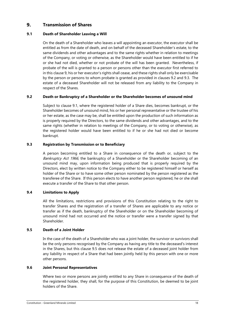#### <span id="page-17-0"></span>9. **Transmission of Shares**

# <span id="page-17-3"></span>**9.1 Death of Shareholder Leaving a Will**

On the death of a Shareholder who leaves a will appointing an executor, the executor shall be entitled as from the date of death, and on behalf of the deceased Shareholder's estate, to the same dividends and other advantages and to the same rights whether in relation to meetings of the Company, or voting or otherwise, as the Shareholder would have been entitled to if he or she had not died, whether or not probate of the will has been granted. Nevertheless, if probate of the will is granted to a person or persons other than the executor first referred to in this clause [9,](#page-17-0) his or her executor's rights shall cease, and these rights shall only be exercisable by the person or persons to whom probate is granted as provided in clauses [9.2](#page-17-1) an[d 9.3.](#page-17-2) The estate of a deceased Shareholder will not be released from any liability to the Company in respect of the Shares.

# <span id="page-17-1"></span>**9.2 Death or Bankruptcy of a Shareholder or the Shareholder becomes of unsound mind**

Subject to clause [9.1,](#page-17-3) where the registered holder of a Share dies, becomes bankrupt, or the Shareholder becomes of unsound mind, his or her personal representative or the trustee of his or her estate, as the case may be, shall be entitled upon the production of such information as is properly required by the Directors, to the same dividends and other advantages, and to the same rights (whether in relation to meetings of the Company, or to voting or otherwise), as the registered holder would have been entitled to if he or she had not died or become bankrupt.

# <span id="page-17-2"></span>**9.3 Registration by Transmission or to Beneficiary**

A person becoming entitled to a Share in consequence of the death or, subject to the Bankruptcy Act 1966, the bankruptcy of a Shareholder or the Shareholder becoming of an unsound mind may, upon information being produced that is properly required by the Directors, elect by written notice to the Company either to be registered himself or herself as holder of the Share or to have some other person nominated by the person registered as the transferee of the Share. If this person elects to have another person registered, he or she shall execute a transfer of the Share to that other person.

# **9.4 Limitations to Apply**

All the limitations, restrictions and provisions of this Constitution relating to the right to transfer Shares and the registration of a transfer of Shares are applicable to any notice or transfer as if the death, bankruptcy of the Shareholder or on the Shareholder becoming of unsound mind had not occurred and the notice or transfer were a transfer signed by that Shareholder.

# <span id="page-17-4"></span>**9.5 Death of a Joint Holder**

In the case of the death of a Shareholder who was a joint holder, the survivor or survivors shall be the only persons recognised by the Company as having any title to the deceased's interest in the Shares, but this clause [9.5](#page-17-4) does not release the estate of a deceased joint holder from any liability in respect of a Share that had been jointly held by this person with one or more other persons.

# **9.6 Joint Personal Representatives**

Where two or more persons are jointly entitled to any Share in consequence of the death of the registered holder, they shall, for the purpose of this Constitution, be deemed to be joint holders of the Share.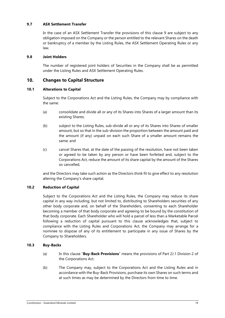# **9.7 ASX Settlement Transfer**

In the case of an ASX Settlement Transfer the provisions of this clause [9](#page-17-0) are subject to any obligation imposed on the Company or the person entitled to the relevant Shares on the death or bankruptcy of a member by the Listing Rules, the ASX Settlement Operating Rules or any law.

# **9.8 Joint Holders**

The number of registered joint holders of Securities in the Company shall be as permitted under the Listing Rules and ASX Settlement Operating Rules.

#### $10<sub>1</sub>$ **Changes to Capital Structure**

# **10.1 Alterations to Capital**

Subject to the Corporations Act and the Listing Rules, the Company may by compliance with the same:

- (a) consolidate and divide all or any of its Shares into Shares of a larger amount than its existing Shares;
- (b) subject to the Listing Rules, sub-divide all or any of its Shares into Shares of smaller amount, but so that in the sub-division the proportion between the amount paid and the amount (if any) unpaid on each such Share of a smaller amount remains the same; and
- (c) cancel Shares that, at the date of the passing of the resolution, have not been taken or agreed to be taken by any person or have been forfeited and, subject to the Corporations Act, reduce the amount of its share capital by the amount of the Shares so cancelled,

and the Directors may take such action as the Directors think fit to give effect to any resolution altering the Company's share capital.

# **10.2 Reduction of Capital**

Subject to the Corporations Act and the Listing Rules, the Company may reduce its share capital in any way including, but not limited to, distributing to Shareholders securities of any other body corporate and, on behalf of the Shareholders, consenting to each Shareholder becoming a member of that body corporate and agreeing to be bound by the constitution of that body corporate. Each Shareholder who will hold a parcel of less than a Marketable Parcel following a reduction of capital pursuant to this clause acknowledges that, subject to compliance with the Listing Rules and Corporations Act, the Company may arrange for a nominee to dispose of any of its entitlement to participate in any issue of Shares by the Company to Shareholders.

# **10.3 Buy-Backs**

- (a) In this clause "**Buy-Back Provisions**" means the provisions of Part 2J.1 Division 2 of the Corporations Act.
- (b) The Company may, subject to the Corporations Act and the Listing Rules and in accordance with the Buy-Back Provisions, purchase its own Shares on such terms and at such times as may be determined by the Directors from time to time.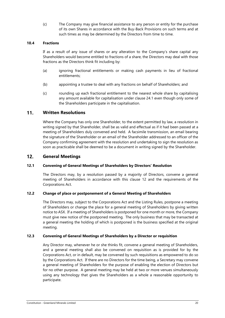(c) The Company may give financial assistance to any person or entity for the purchase of its own Shares in accordance with the Buy-Back Provisions on such terms and at such times as may be determined by the Directors from time to time.

# **10.4 Fractions**

If as a result of any issue of shares or any alteration to the Company's share capital any Shareholders would become entitled to fractions of a share, the Directors may deal with those fractions as the Directors think fit including by:

- (a) ignoring fractional entitlements or making cash payments in lieu of fractional entitlements;
- (b) appointing a trustee to deal with any fractions on behalf of Shareholders; and
- (c) rounding up each fractional entitlement to the nearest whole share by capitalising any amount available for capitalisation under clause [24.1](#page-43-0) even though only some of the Shareholders participate in the capitalisation.

#### $11.$ **Written Resolutions**

Where the Company has only one Shareholder, to the extent permitted by law, a resolution in writing signed by that Shareholder, shall be as valid and effectual as if it had been passed at a meeting of Shareholders duly convened and held. A facsimile transmission, an email bearing the signature of the Shareholder or an email of the Shareholder addressed to an officer of the Company confirming agreement with the resolution and undertaking to sign the resolution as soon as practicable shall be deemed to be a document in writing signed by the Shareholder.

#### <span id="page-19-0"></span> $12.$ **General Meetings**

# <span id="page-19-1"></span>**12.1 Convening of General Meetings of Shareholders by Directors' Resolution**

The Directors may, by a resolution passed by a majority of Directors, convene a general meeting of Shareholders in accordance with this clause [12](#page-19-0) and the requirements of the Corporations Act.

# **12.2 Change of place or postponement of a General Meeting of Shareholders**

The Directors may, subject to the Corporations Act and the Listing Rules, postpone a meeting of Shareholders or change the place for a general meeting of Shareholders by giving written notice to ASX. If a meeting of Shareholders is postponed for one month or more, the Company must give new notice of the postponed meeting. The only business that may be transacted at a general meeting the holding of which is postponed is the business specified at the original meeting.

# **12.3 Convening of General Meetings of Shareholders by a Director or requisition**

Any Director may, whenever he or she thinks fit, convene a general meeting of Shareholders, and a general meeting shall also be convened on requisition as is provided for by the Corporations Act, or in default, may be convened by such requisitions as empowered to do so by the Corporations Act. If there are no Directors for the time being, a Secretary may convene a general meeting of Shareholders for the purpose of enabling the election of Directors but for no other purpose. A general meeting may be held at two or more venues simultaneously using any technology that gives the Shareholders as a whole a reasonable opportunity to participate.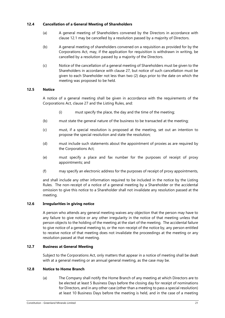# **12.4 Cancellation of a General Meeting of Shareholders**

- (a) A general meeting of Shareholders convened by the Directors in accordance with clause [12.1](#page-19-1) may be cancelled by a resolution passed by a majority of Directors.
- (b) A general meeting of shareholders convened on a requisition as provided for by the Corporations Act, may, if the application for requisition is withdrawn in writing, be cancelled by a resolution passed by a majority of the Directors.
- (c) Notice of the cancellation of a general meeting of Shareholders must be given to the Shareholders in accordance with clause [27,](#page-45-1) but notice of such cancellation must be given to each Shareholder not less than two (2) days prior to the date on which the meeting was proposed to be held.

# **12.5 Notice**

A notice of a general meeting shall be given in accordance with the requirements of the Corporations Act, clause [27](#page-45-1) and the Listing Rules, and:

- (i) must specify the place, the day and the time of the meeting;
- (b) must state the general nature of the business to be transacted at the meeting;
- (c) must, if a special resolution is proposed at the meeting, set out an intention to propose the special resolution and state the resolution;
- (d) must include such statements about the appointment of proxies as are required by the Corporations Act;
- (e) must specify a place and fax number for the purposes of receipt of proxy appointments; and
- (f) may specify an electronic address for the purposes of receipt of proxy appointments,

and shall include any other information required to be included in the notice by the Listing Rules. The non-receipt of a notice of a general meeting by a Shareholder or the accidental omission to give this notice to a Shareholder shall not invalidate any resolution passed at the meeting.

# **12.6 Irregularities in giving notice**

A person who attends any general meeting waives any objection that the person may have to any failure to give notice or any other irregularity in the notice of that meeting unless that person objects to the holding of the meeting at the start of the meeting. The accidental failure to give notice of a general meeting to, or the non-receipt of the notice by, any person entitled to receive notice of that meeting does not invalidate the proceedings at the meeting or any resolution passed at that meeting.

# **12.7 Business at General Meeting**

Subject to the Corporations Act, only matters that appear in a notice of meeting shall be dealt with at a general meeting or an annual general meeting, as the case may be.

# **12.8 Notice to Home Branch**

(a) The Company shall notify the Home Branch of any meeting at which Directors are to be elected at least 5 Business Days before the closing day for receipt of nominations for Directors, and in any other case (other than a meeting to pass a special resolution) at least 10 Business Days before the meeting is held, and in the case of a meeting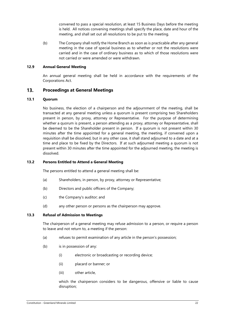convened to pass a special resolution, at least 15 Business Days before the meeting is held. All notices convening meetings shall specify the place, date and hour of the meeting, and shall set out all resolutions to be put to the meeting.

(b) The Company shall notify the Home Branch as soon as is practicable after any general meeting in the case of special business as to whether or not the resolutions were carried and in the case of ordinary business as to which of those resolutions were not carried or were amended or were withdrawn.

#### **12.9 Annual General Meeting**

An annual general meeting shall be held in accordance with the requirements of the Corporations Act.

#### $13.$ **Proceedings at General Meetings**

# **13.1 Quorum**

No business, the election of a chairperson and the adjournment of the meeting, shall be transacted at any general meeting unless a quorum is present comprising two Shareholders present in person, by proxy, attorney or Representative. For the purpose of determining whether a quorum is present, a person attending as a proxy, attorney or Representative, shall be deemed to be the Shareholder present in person. If a quorum is not present within 30 minutes after the time appointed for a general meeting, the meeting, if convened upon a requisition shall be dissolved, but in any other case, it shall stand adjourned to a date and at a time and place to be fixed by the Directors. If at such adjourned meeting a quorum is not present within 30 minutes after the time appointed for the adjourned meeting, the meeting is dissolved.

# **13.2 Persons Entitled to Attend a General Meeting**

The persons entitled to attend a general meeting shall be:

- (a) Shareholders, in person, by proxy, attorney or Representative;
- (b) Directors and public officers of the Company;
- (c) the Company's auditor; and
- (d) any other person or persons as the chairperson may approve.

#### <span id="page-21-0"></span>**13.3 Refusal of Admission to Meetings**

The chairperson of a general meeting may refuse admission to a person, or require a person to leave and not return to, a meeting if the person:

- (a) refuses to permit examination of any article in the person's possession;
- (b) is in possession of any:
	- (i) electronic or broadcasting or recording device;
	- (ii) placard or banner; or
	- (iii) other article,

which the chairperson considers to be dangerous, offensive or liable to cause disruption;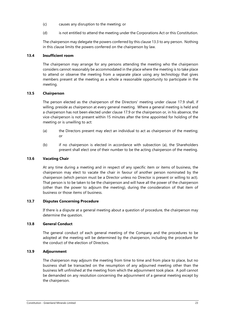- (c) causes any disruption to the meeting; or
- (d) is not entitled to attend the meeting under the Corporations Act or this Constitution.

The chairperson may delegate the powers conferred by this clause [13.3](#page-21-0) to any person. Nothing in this clause limits the powers conferred on the chairperson by law.

# **13.4 Insufficient room**

The chairperson may arrange for any persons attending the meeting who the chairperson considers cannot reasonably be accommodated in the place where the meeting is to take place to attend or observe the meeting from a separate place using any technology that gives members present at the meeting as a whole a reasonable opportunity to participate in the meeting.

# **13.5 Chairperson**

The person elected as the chairperson of the Directors' meeting under clause 17.9 shall, if willing, preside as chairperson at every general meeting. Where a general meeting is held and a chairperson has not been elected under clause 17.9 or the chairperson or, in his absence, the vice-chairperson is not present within 15 minutes after the time appointed for holding of the meeting or is unwilling to act:

- (a) the Directors present may elect an individual to act as chairperson of the meeting;  $\alpha$ r
- (b) if no chairperson is elected in accordance with subsection (a), the Shareholders present shall elect one of their number to be the acting chairperson of the meeting.

# **13.6 Vacating Chair**

At any time during a meeting and in respect of any specific item or items of business, the chairperson may elect to vacate the chair in favour of another person nominated by the chairperson (which person must be a Director unless no Director is present or willing to act). That person is to be taken to be the chairperson and will have all the power of the chairperson (other than the power to adjourn the meeting), during the consideration of that item of business or those items of business.

# **13.7 Disputes Concerning Procedure**

If there is a dispute at a general meeting about a question of procedure, the chairperson may determine the question.

# **13.8 General Conduct**

The general conduct of each general meeting of the Company and the procedures to be adopted at the meeting will be determined by the chairperson, including the procedure for the conduct of the election of Directors.

# **13.9 Adjournment**

The chairperson may adjourn the meeting from time to time and from place to place, but no business shall be transacted on the resumption of any adjourned meeting other than the business left unfinished at the meeting from which the adjournment took place. A poll cannot be demanded on any resolution concerning the adjournment of a general meeting except by the chairperson.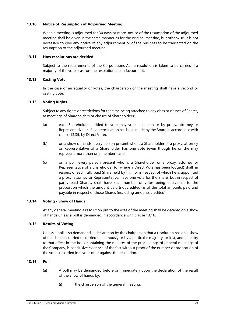# <span id="page-23-1"></span>**13.10 Notice of Resumption of Adjourned Meeting**

When a meeting is adjourned for 30 days or more, notice of the resumption of the adjourned meeting shall be given in the same manner as for the original meeting, but otherwise, it is not necessary to give any notice of any adjournment or of the business to be transacted on the resumption of the adjourned meeting.

# **13.11 How resolutions are decided**

Subject to the requirements of the Corporations Act, a resolution is taken to be carried if a majority of the votes cast on the resolution are in favour of it.

# **13.12 Casting Vote**

In the case of an equality of votes, the chairperson of the meeting shall have a second or casting vote.

# **13.13 Voting Rights**

Subject to any rights or restrictions for the time being attached to any class or classes of Shares, at meetings of Shareholders or classes of Shareholders:

- (a) each Shareholder entitled to vote may vote in person or by proxy, attorney or Representative or, if a determination has been made by the Board in accordance with clause [13.35,](#page-27-0) by Direct Vote);
- (b) on a show of hands, every person present who is a Shareholder or a proxy, attorney or Representative of a Shareholder has one vote (even though he or she may represent more than one member); and
- (c) on a poll, every person present who is a Shareholder or a proxy, attorney or Representative of a Shareholder (or where a Direct Vote has been lodged) shall, in respect of each fully paid Share held by him, or in respect of which he is appointed a proxy, attorney or Representative, have one vote for the Share, but in respect of partly paid Shares, shall have such number of votes being equivalent to the proportion which the amount paid (not credited) is of the total amounts paid and payable in respect of those Shares (excluding amounts credited).

# **13.14 Voting - Show of Hands**

At any general meeting a resolution put to the vote of the meeting shall be decided on a show of hands unless a poll is demanded in accordance with clause [13.16.](#page-23-0)

# **13.15 Results of Voting**

Unless a poll is so demanded, a declaration by the chairperson that a resolution has on a show of hands been carried or carried unanimously or by a particular majority, or lost, and an entry to that effect in the book containing the minutes of the proceedings of general meetings of the Company, is conclusive evidence of the fact without proof of the number or proportion of the votes recorded in favour of or against the resolution.

# <span id="page-23-0"></span>**13.16 Poll**

- (a) A poll may be demanded before or immediately upon the declaration of the result of the show of hands by:
	- (i) the chairperson of the general meeting;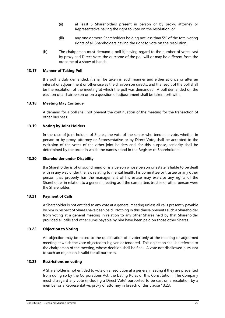- (ii) at least 5 Shareholders present in person or by proxy, attorney or Representative having the right to vote on the resolution; or
- (iii) any one or more Shareholders holding not less than 5% of the total voting rights of all Shareholders having the right to vote on the resolution.
- (b) The chairperson must demand a poll if, having regard to the number of votes cast by proxy and Direct Vote, the outcome of the poll will or may be different from the outcome of a show of hands.

# **13.17 Manner of Taking Poll**

If a poll is duly demanded, it shall be taken in such manner and either at once or after an interval or adjournment or otherwise as the chairperson directs, and the result of the poll shall be the resolution of the meeting at which the poll was demanded. A poll demanded on the election of a chairperson or on a question of adjournment shall be taken forthwith.

# **13.18 Meeting May Continue**

A demand for a poll shall not prevent the continuation of the meeting for the transaction of other business.

# **13.19 Voting by Joint Holders**

In the case of joint holders of Shares, the vote of the senior who tenders a vote, whether in person or by proxy, attorney or Representative or by Direct Vote, shall be accepted to the exclusion of the votes of the other joint holders and, for this purpose, seniority shall be determined by the order in which the names stand in the Register of Shareholders.

#### **13.20 Shareholder under Disability**

If a Shareholder is of unsound mind or is a person whose person or estate is liable to be dealt with in any way under the law relating to mental health, his committee or trustee or any other person that properly has the management of his estate may exercise any rights of the Shareholder in relation to a general meeting as if the committee, trustee or other person were the Shareholder.

# **13.21 Payment of Calls**

A Shareholder is not entitled to any vote at a general meeting unless all calls presently payable by him in respect of Shares have been paid. Nothing in this clause prevents such a Shareholder from voting at a general meeting in relation to any other Shares held by that Shareholder provided all calls and other sums payable by him have been paid on those other Shares.

# **13.22 Objection to Voting**

An objection may be raised to the qualification of a voter only at the meeting or adjourned meeting at which the vote objected to is given or tendered. This objection shall be referred to the chairperson of the meeting, whose decision shall be final. A vote not disallowed pursuant to such an objection is valid for all purposes.

# <span id="page-24-0"></span>**13.23 Restrictions on voting**

A Shareholder is not entitled to vote on a resolution at a general meeting if they are prevented from doing so by the Corporations Act, the Listing Rules or this Constitution. The Company must disregard any vote (including a Direct Vote) purported to be cast on a resolution by a member or a Representative, proxy or attorney in breach of this clause [13.23.](#page-24-0)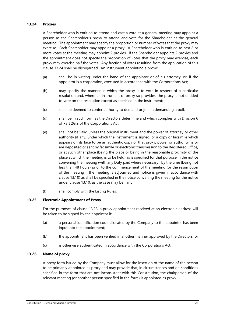# <span id="page-25-0"></span>**13.24 Proxies**

A Shareholder who is entitled to attend and cast a vote at a general meeting may appoint a person as the Shareholder's proxy to attend and vote for the Shareholder at the general meeting. The appointment may specify the proportion or number of votes that the proxy may exercise. Each Shareholder may appoint a proxy. A Shareholder who is entitled to cast 2 or more votes at the meeting may appoint 2 proxies. If the Shareholder appoints 2 proxies and the appointment does not specify the proportion of votes that the proxy may exercise, each proxy may exercise half the votes. Any fraction of votes resulting from the application of this clause [13.24](#page-25-0) shall be disregarded. An instrument appointing a proxy:

- (a) shall be in writing under the hand of the appointor or of his attorney, or, if the appointor is a corporation, executed in accordance with the Corporations Act;
- (b) may specify the manner in which the proxy is to vote in respect of a particular resolution and, where an instrument of proxy so provides, the proxy is not entitled to vote on the resolution except as specified in the instrument;
- (c) shall be deemed to confer authority to demand or join in demanding a poll;
- (d) shall be in such form as the Directors determine and which complies with Division 6 of Part 2G.2 of the Corporations Act;
- <span id="page-25-1"></span>(e) shall not be valid unless the original instrument and the power of attorney or other authority (if any) under which the instrument is signed, or a copy or facsimile which appears on its face to be an authentic copy of that proxy, power or authority, is or are deposited or sent by facsimile or electronic transmission to the Registered Office, or at such other place (being the place or being in the reasonable proximity of the place at which the meeting is to be held) as is specified for that purpose in the notice convening the meeting (with any Duty paid where necessary), by the time (being not less than 48 hours) prior to the commencement of the meeting (or the resumption of the meeting if the meeting is adjourned and notice is given in accordance with claus[e 13.10\)](#page-23-1) as shall be specified in the notice convening the meeting (or the notice under clause [13.10,](#page-23-1) as the case may be); and
- (f) shall comply with the Listing Rules.

#### **13.25 Electronic Appointment of Proxy**

For the purposes of clause [13.23,](#page-24-0) a proxy appointment received at an electronic address will be taken to be signed by the appointor if:

- (a) a personal identification code allocated by the Company to the appointor has been input into the appointment;
- (b) the appointment has been verified in another manner approved by the Directors; or
- (c) is otherwise authenticated in accordance with the Corporations Act.

# **13.26 Name of proxy**

A proxy form issued by the Company must allow for the insertion of the name of the person to be primarily appointed as proxy and may provide that, in circumstances and on conditions specified in the form that are not inconsistent with this Constitution, the chairperson of the relevant meeting (or another person specified in the form) is appointed as proxy.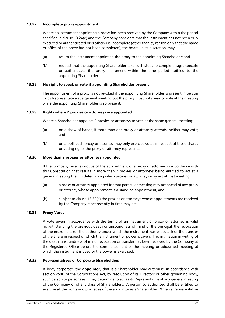# **13.27 Incomplete proxy appointment**

Where an instrument appointing a proxy has been received by the Company within the period specified in claus[e 13.24\(e\)](#page-25-1) and the Company considers that the instrument has not been duly executed or authenticated or is otherwise incomplete (other than by reason only that the name or office of the proxy has not been completed), the board, in its discretion, may:

- (a) return the instrument appointing the proxy to the appointing Shareholder; and
- (b) request that the appointing Shareholder take such steps to complete, sign, execute or authenticate the proxy instrument within the time period notified to the appointing Shareholder.

# **13.28 No right to speak or vote if appointing Shareholder present**

The appointment of a proxy is not revoked if the appointing Shareholder is present in person or by Representative at a general meeting but the proxy must not speak or vote at the meeting while the appointing Shareholder is so present.

# **13.29 Rights where 2 proxies or attorneys are appointed**

Where a Shareholder appoints 2 proxies or attorneys to vote at the same general meeting:

- (a) on a show of hands, if more than one proxy or attorney attends, neither may vote; and
- (b) on a poll, each proxy or attorney may only exercise votes in respect of those shares or voting rights the proxy or attorney represents.

# <span id="page-26-1"></span>**13.30 More than 2 proxies or attorneys appointed**

If the Company receives notice of the appointment of a proxy or attorney in accordance with this Constitution that results in more than 2 proxies or attorneys being entitled to act at a general meeting then in determining which proxies or attorneys may act at that meeting:

- <span id="page-26-2"></span>(a) a proxy or attorney appointed for that particular meeting may act ahead of any proxy or attorney whose appointment is a standing appointment; and
- (b) subject to clause [13.30](#page-26-1)[\(a\)](#page-26-2) the proxies or attorneys whose appointments are received by the Company most recently in time may act.

# **13.31 Proxy Votes**

A vote given in accordance with the terms of an instrument of proxy or attorney is valid notwithstanding the previous death or unsoundness of mind of the principal, the revocation of the instrument (or the authority under which the instrument was executed) or the transfer of the Share in respect of which the instrument or power is given, if no intimation in writing of the death, unsoundness of mind, revocation or transfer has been received by the Company at the Registered Office before the commencement of the meeting or adjourned meeting at which the instrument is used or the power is exercised.

# <span id="page-26-0"></span>**13.32 Representatives of Corporate Shareholders**

A body corporate (the **appointor**) that is a Shareholder may authorise, in accordance with section 250D of the Corporations Act, by resolution of its Directors or other governing body, such person or persons as it may determine to act as its Representative at any general meeting of the Company or of any class of Shareholders. A person so authorised shall be entitled to exercise all the rights and privileges of the appointor as a Shareholder. When a Representative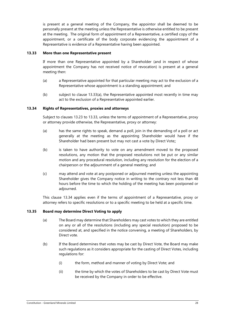is present at a general meeting of the Company, the appointor shall be deemed to be personally present at the meeting unless the Representative is otherwise entitled to be present at the meeting. The original form of appointment of a Representative, a certified copy of the appointment, or a certificate of the body corporate evidencing the appointment of a Representative is evidence of a Representative having been appointed.

#### <span id="page-27-1"></span>**13.33 More than one Representative present**

If more than one Representative appointed by a Shareholder (and in respect of whose appointment the Company has not received notice of revocation) is present at a general meeting then:

- <span id="page-27-2"></span>(a) a Representative appointed for that particular meeting may act to the exclusion of a Representative whose appointment is a standing appointment; and
- (b) subject to clause [13.33](#page-27-1)[\(a\),](#page-27-2) the Representative appointed most recently in time may act to the exclusion of a Representative appointed earlier.

#### <span id="page-27-3"></span>**13.34 Rights of Representatives, proxies and attorneys**

Subject to clauses [13.23](#page-24-0) to [13.33,](#page-27-1) unless the terms of appointment of a Representative, proxy or attorney provide otherwise, the Representative, proxy or attorney:

- (a) has the same rights to speak, demand a poll, join in the demanding of a poll or act generally at the meeting as the appointing Shareholder would have if the Shareholder had been present but may not cast a vote by Direct Vote;;
- (b) is taken to have authority to vote on any amendment moved to the proposed resolutions, any motion that the proposed resolutions not be put or any similar motion and any procedural resolution, including any resolution for the election of a chairperson or the adjournment of a general meeting; and
- (c) may attend and vote at any postponed or adjourned meeting unless the appointing Shareholder gives the Company notice in writing to the contrary not less than 48 hours before the time to which the holding of the meeting has been postponed or adjourned.

This clause [13.34](#page-27-3) applies even if the terms of appointment of a Representative, proxy or attorney refers to specific resolutions or to a specific meeting to be held at a specific time.

# <span id="page-27-0"></span>**13.35 Board may determine Direct Voting to apply**

- (a) The Board may determine that Shareholders may cast votes to which they are entitled on any or all of the resolutions (including any special resolution) proposed to be considered at, and specified in the notice convening, a meeting of Shareholders, by Direct vote.
- (b) If the Board determines that votes may be cast by Direct Vote, the Board may make such regulations as it considers appropriate for the casting of Direct Votes, including regulations for:
	- (i) the form, method and manner of voting by Direct Vote; and
	- (ii) the time by which the votes of Shareholders to be cast by Direct Vote must be received by the Company in order to be effective.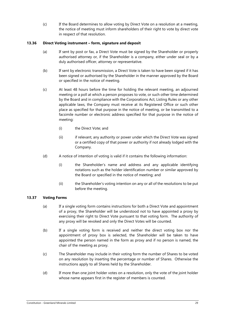(c) If the Board determines to allow voting by Direct Vote on a resolution at a meeting, the notice of meeting must inform shareholders of their right to vote by direct vote in respect of that resolution.

# **13.36 Direct Voting instrument – form, signature and deposit**

- (a) If sent by post or fax, a Direct Vote must be signed by the Shareholder or properly authorised attorney or, if the Shareholder is a company, either under seal or by a duly authorised officer, attorney or representative.
- (b) If sent by electronic transmission, a Direct Vote is taken to have been signed if it has been signed or authorised by the Shareholder in the manner approved by the Board or specified in the notice of meeting.
- (c) At least 48 hours before the time for holding the relevant meeting, an adjourned meeting or a poll at which a person proposes to vote, or such other time determined by the Board and in compliance with the Corporations Act, Listing Rules or any other applicable laws, the Company must receive at its Registered Office or such other place as specified for that purpose in the notice of meeting, or be transmitted to a facsimile number or electronic address specified for that purpose in the notice of meeting:
	- (i) the Direct Vote; and
	- (ii) if relevant, any authority or power under which the Direct Vote was signed or a certified copy of that power or authority if not already lodged with the Company.
- (d) A notice of intention of voting is valid if it contains the following information:
	- (i) the Shareholder's name and address and any applicable identifying notations such as the holder identification number or similar approved by the Board or specified in the notice of meeting; and
	- (ii) the Shareholder's voting intention on any or all of the resolutions to be put before the meeting.

# **13.37 Voting Forms**

- (a) If a single voting form contains instructions for both a Direct Vote and appointment of a proxy, the Shareholder will be understood not to have appointed a proxy by exercising their right to Direct Vote pursuant to that voting form. The authority of any proxy will be revoked and only the Direct Votes will be counted.
- (b) If a single voting form is received and neither the direct voting box nor the appointment of proxy box is selected, the Shareholder will be taken to have appointed the person named in the form as proxy and if no person is named, the chair of the meeting as proxy.
- (c) The Shareholder may include in their voting form the number of Shares to be voted on any resolution by inserting the percentage or number of Shares. Otherwise the instructions apply to all Shares held by the Shareholder.
- (d) If more than one joint holder votes on a resolution, only the vote of the joint holder whose name appears first in the register of members is counted.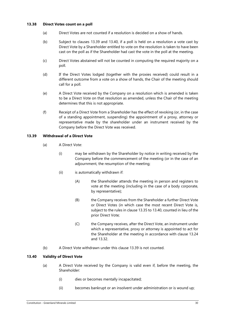# **13.38 Direct Votes count on a poll**

- (a) Direct Votes are not counted if a resolution is decided on a show of hands.
- (b) Subject to clauses [13.39](#page-29-0) and [13.40,](#page-29-1) if a poll is held on a resolution a vote cast by Direct Vote by a Shareholder entitled to vote on the resolution is taken to have been cast on the poll as if the Shareholder had cast the vote in the poll at the meeting.
- (c) Direct Votes abstained will not be counted in computing the required majority on a poll.
- (d) If the Direct Votes lodged (together with the proxies received) could result in a different outcome from a vote on a show of hands, the Chair of the meeting should call for a poll.
- (e) A Direct Vote received by the Company on a resolution which is amended is taken to be a Direct Vote on that resolution as amended, unless the Chair of the meeting determines that this is not appropriate.
- (f) Receipt of a Direct Vote from a Shareholder has the effect of revoking (or, in the case of a standing appointment, suspending) the appointment of a proxy, attorney or representative made by the shareholder under an instrument received by the Company before the Direct Vote was received.

# <span id="page-29-0"></span>**13.39 Withdrawal of a Direct Vote**

- (a) A Direct Vote:
	- (i) may be withdrawn by the Shareholder by notice in writing received by the Company before the commencement of the meeting (or in the case of an adjournment, the resumption of the meeting;
	- (ii) is automatically withdrawn if:
		- (A) the Shareholder attends the meeting in person and registers to vote at the meeting (including in the case of a body corporate, by representative);
		- (B) the Company receives from the Shareholder a further Direct Vote or Direct Votes (in which case the most recent Direct Vote is, subject to the rules in clause [13.35](#page-27-0) t[o 13.40,](#page-29-1) counted in lieu of the prior Direct Vote;
		- (C) the Company receives, after the Direct Vote, an instrument under which a representative, proxy or attorney is appointed to act for the Shareholder at the meeting in accordance with clause [13.24](#page-25-0) and [13.32.](#page-26-0)
- (b) A Direct Vote withdrawn under this clause [13.39](#page-29-0) is not counted.

# <span id="page-29-1"></span>**13.40 Validity of Direct Vote**

- (a) A Direct Vote received by the Company is valid even if, before the meeting, the Shareholder:
	- (i) dies or becomes mentally incapacitated;
	- (ii) becomes bankrupt or an insolvent under administration or is wound up;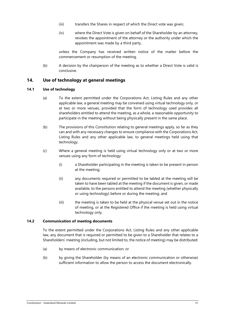- (iii) transfers the Shares in respect of which the Direct vote was given;
- (iv) where the Direct Vote is given on behalf of the Shareholder by an attorney, revokes the appointment of the attorney or the authority under which the appointment was made by a third party,

unless the Company has received written notice of the matter before the commencement or resumption of the meeting.

(b) A decision by the chairperson of the meeting as to whether a Direct Vote is valid is conclusive.

#### $14.$ **Use of technology at general meetings**

# **14.1 Use of technology**

- (a) To the extent permitted under the Corporations Act, Listing Rules and any other applicable law, a general meeting may be convened using virtual technology only, or at two or more venues, provided that the form of technology used provides all shareholders entitled to attend the meeting, as a whole, a reasonable opportunity to participate in the meeting without being physically present in the same place.
- (b) The provisions of this Constitution relating to general meetings apply, so far as they can and with any necessary changes to ensure compliance with the Corporations Act, Listing Rules and any other applicable law, to general meetings held using that technology.
- (c) Where a general meeting is held using virtual technology only or at two or more venues using any form of technology:
	- (i) a Shareholder participating in the meeting is taken to be present in person at the meeting;
	- (ii) any documents required or permitted to be tabled at the meeting will be taken to have been tabled at the meeting if the document is given, or made available, to the persons entitled to attend the meeting (whether physically or using technology) before or during the meeting; and
	- (iii) the meeting is taken to be held at the physical venue set out in the notice of meeting, or at the Registered Office if the meeting is held using virtual technology only.

# **14.2 Communication of meeting documents**

To the extent permitted under the Corporations Act, Listing Rules and any other applicable law, any document that is required or permitted to be given to a Shareholder that relates to a Shareholders' meeting (including, but not limited to, the notice of meeting) may be distributed:

- (a) by means of electronic communication; or
- (b) by giving the Shareholder (by means of an electronic communication or otherwise) sufficient information to allow the person to access the document electronically.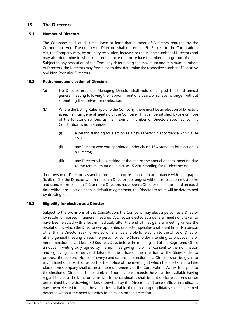#### $15.$ **The Directors**

# <span id="page-31-3"></span>**15.1 Number of Directors**

The Company shall at all times have at least that number of Directors required by the Corporations Act. The number of Directors shall not exceed 9. Subject to the Corporations Act, the Company may, by ordinary resolution, increase or reduce the number of Directors and may also determine in what rotation the increased or reduced number is to go out of office. Subject to any resolution of the Company determining the maximum and minimum numbers of Directors, the Directors may from time to time determine the respective number of Executive and Non Executive Directors.

# <span id="page-31-2"></span><span id="page-31-1"></span>**15.2 Retirement and election of Directors**

- (a) No Director except a Managing Director shall hold office past the third annual general meeting following their appointment or 3 years, whichever is longer, without submitting themselves for re-election.
- (b) Where the Listing Rules apply to the Company, there must be an election of Directors at each annual general meeting of the Company. This can be satisfied by one or more of the following so long as the maximum number of Directors specified by this Constitution is not exceeded:
	- (i) a person standing for election as a new Director in accordance with clause [15.3;](#page-31-0)
	- (ii) any Director who was appointed under clause [15.4](#page-32-0) standing for election as a Director;
	- (iii) any Director who is retiring at the end of the annual general meeting due to the tenure limitation in clause [15.2](#page-31-1)[\(a\),](#page-31-2) standing for re-election; or

if no person or Director is standing for election or re-election in accordance with paragraphs (i), (ii) or (iii), the Director who has been a Director the longest without re-election must retire and stand for re-election. If 2 or more Directors have been a Director the longest and an equal time without re-election, then in default of agreement, the Director to retire will be determined by drawing lots.

# <span id="page-31-0"></span>**15.3 Eligibility for election as a Director**

Subject to the provisions of this Constitution, the Company may elect a person as a Director by resolution passed in general meeting. A Director elected at a general meeting is taken to have been elected with effect immediately after the end of that general meeting unless the resolution by which the Director was appointed or elected specifies a different time. No person other than a Director seeking re-election shall be eligible for election to the office of Director at any general meeting unless the person or some Shareholder intending to propose his or her nomination has, at least 30 Business Days before the meeting, left at the Registered Office a notice in writing duly signed by the nominee giving his or her consent to the nomination and signifying his or her candidature for the office or the intention of the Shareholder to propose the person. Notice of every candidature for election as a Director shall be given to each Shareholder with or as part of the notice of the meeting at which the election is to take place. The Company shall observe the requirements of the Corporations Act with respect to the election of Directors. If the number of nominations exceeds the vacancies available having regard to clause [15.1,](#page-31-3) the order in which the candidates shall be put up for election shall be determined by the drawing of lots supervised by the Directors and once sufficient candidates have been elected to fill up the vacancies available, the remaining candidates shall be deemed defeated without the need for votes to be taken on their election.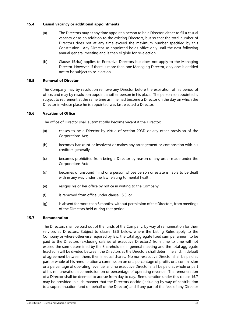# <span id="page-32-1"></span><span id="page-32-0"></span>**15.4 Casual vacancy or additional appointments**

- (a) The Directors may at any time appoint a person to be a Director, either to fill a casual vacancy or as an addition to the existing Directors, but so that the total number of Directors does not at any time exceed the maximum number specified by this Constitution. Any Director so appointed holds office only until the next following annual general meeting and is then eligible for re-election.
- (b) Clause [15.4](#page-32-0)[\(a\)](#page-32-1) applies to Executive Directors but does not apply to the Managing Director. However, if there is more than one Managing Director, only one is entitled not to be subject to re-election.

# <span id="page-32-2"></span>**15.5 Removal of Director**

The Company may by resolution remove any Director before the expiration of his period of office, and may by resolution appoint another person in his place. The person so appointed is subject to retirement at the same time as if he had become a Director on the day on which the Director in whose place he is appointed was last elected a Director.

# **15.6 Vacation of Office**

The office of Director shall automatically become vacant if the Director:

- (a) ceases to be a Director by virtue of section 203D or any other provision of the Corporations Act;
- (b) becomes bankrupt or insolvent or makes any arrangement or composition with his creditors generally;
- (c) becomes prohibited from being a Director by reason of any order made under the Corporations Act;
- (d) becomes of unsound mind or a person whose person or estate is liable to be dealt with in any way under the law relating to mental health;
- (e) resigns his or her office by notice in writing to the Company;
- (f) is removed from office under clause [15.5;](#page-32-2) or
- (g) is absent for more than 6 months, without permission of the Directors, from meetings of the Directors held during that period.

# <span id="page-32-3"></span>**15.7 Remuneration**

The Directors shall be paid out of the funds of the Company, by way of remuneration for their services as Directors. Subject to clause [15.8](#page-33-0) below, where the Listing Rules apply to the Company or where otherwise required by law, the total aggregate fixed sum per annum to be paid to the Directors (excluding salaries of executive Directors) from time to time will not exceed the sum determined by the Shareholders in general meeting and the total aggregate fixed sum will be divided between the Directors as the Directors shall determine and, in default of agreement between them, then in equal shares. No non-executive Director shall be paid as part or whole of his remuneration a commission on or a percentage of profits or a commission or a percentage of operating revenue, and no executive Director shall be paid as whole or part of his remuneration a commission on or percentage of operating revenue. The remuneration of a Director shall be deemed to accrue from day to day. Remuneration under this clause [15.7](#page-32-3) may be provided in such manner that the Directors decide (including by way of contribution to a superannuation fund on behalf of the Director) and if any part of the fees of any Director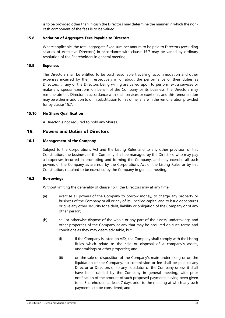is to be provided other than in cash the Directors may determine the manner in which the noncash component of the fees is to be valued.

# <span id="page-33-0"></span>**15.8 Variation of Aggregate Fees Payable to Directors**

Where applicable, the total aggregate fixed sum per annum to be paid to Directors (excluding salaries of executive Directors) in accordance with clause [15.7](#page-32-3) may be varied by ordinary resolution of the Shareholders in general meeting.

# **15.9 Expenses**

The Directors shall be entitled to be paid reasonable travelling, accommodation and other expenses incurred by them respectively in or about the performance of their duties as Directors. If any of the Directors being willing are called upon to perform extra services or make any special exertions on behalf of the Company or its business, the Directors may remunerate this Director in accordance with such services or exertions, and this remuneration may be either in addition to or in substitution for his or her share in the remuneration provided for by clause [15.7.](#page-32-3)

# **15.10 No Share Qualification**

A Director is not required to hold any Shares.

#### $16.$ **Powers and Duties of Directors**

# <span id="page-33-1"></span>**16.1 Management of the Company**

Subject to the Corporations Act and the Listing Rules and to any other provision of this Constitution, the business of the Company shall be managed by the Directors, who may pay all expenses incurred in promoting and forming the Company, and may exercise all such powers of the Company as are not, by the Corporations Act or the Listing Rules or by this Constitution, required to be exercised by the Company in general meeting.

# **16.2 Borrowings**

Without limiting the generality of clause [16.1,](#page-33-1) the Directors may at any time:

- (a) exercise all powers of the Company to borrow money, to charge any property or business of the Company or all or any of its uncalled capital and to issue debentures or give any other security for a debt, liability or obligation of the Company or of any other person;
- (b) sell or otherwise dispose of the whole or any part of the assets, undertakings and other properties of the Company or any that may be acquired on such terms and conditions as they may deem advisable, but:
	- (i) if the Company is listed on ASX, the Company shall comply with the Listing Rules which relate to the sale or disposal of a company's assets, undertakings or other properties; and
	- (ii) on the sale or disposition of the Company's main undertaking or on the liquidation of the Company, no commission or fee shall be paid to any Director or Directors or to any liquidator of the Company unless it shall have been ratified by the Company in general meeting, with prior notification of the amount of such proposed payments having been given to all Shareholders at least 7 days prior to the meeting at which any such payment is to be considered; and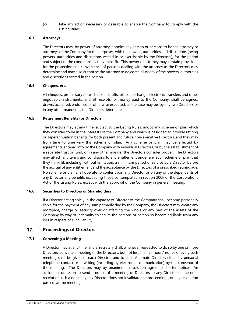(c) take any action necessary or desirable to enable the Company to comply with the Listing Rules.

# **16.3 Attorneys**

The Directors may, by power of attorney, appoint any person or persons to be the attorney or attorneys of the Company for the purposes, with the powers, authorities and discretions (being powers, authorities and discretions vested in or exercisable by the Directors), for the period and subject to the conditions as they think fit. This power of attorney may contain provisions for the protection and convenience of persons dealing with the attorney as the Directors may determine and may also authorise the attorney to delegate all or any of the powers, authorities and discretions vested in the person.

# **16.4 Cheques, etc.**

All cheques, promissory notes, bankers drafts, bills of exchange, electronic transfers and other negotiable instruments, and all receipts for money paid to the Company, shall be signed, drawn, accepted, endorsed or otherwise executed, as the case may be, by any two Directors or in any other manner as the Directors determine.

# **16.5 Retirement Benefits for Directors**

The Directors may at any time, subject to the Listing Rules, adopt any scheme or plan which they consider to be in the interests of the Company and which is designed to provide retiring or superannuation benefits for both present and future non-executive Directors, and they may from time to time vary this scheme or plan. Any scheme or plan may be effected by agreements entered into by the Company with individual Directors, or by the establishment of a separate trust or fund, or in any other manner the Directors consider proper. The Directors may attach any terms and conditions to any entitlement under any such scheme or plan that they think fit, including, without limitation, a minimum period of service by a Director before the accrual of any entitlement and the acceptance by the Directors of a prescribed retiring age. No scheme or plan shall operate to confer upon any Director or on any of the dependants of any Director any benefits exceeding those contemplated in section 200F of the Corporations Act or the Listing Rules, except with the approval of the Company in general meeting.

# **16.6 Securities to Directors or Shareholders**

If a Director acting solely in the capacity of Director of the Company shall become personally liable for the payment of any sum primarily due by the Company, the Directors may create any mortgage, charge or security over or affecting the whole or any part of the assets of the Company by way of indemnity to secure the persons or person so becoming liable from any loss in respect of such liability.

#### <span id="page-34-0"></span> $17.$ **Proceedings of Directors**

# **17.1 Convening a Meeting**

A Director may at any time, and a Secretary shall, whenever requested to do so by one or more Directors, convene a meeting of the Directors, but not less than 24 hours' notice of every such meeting shall be given to each Director, and to each Alternate Director, either by personal telephone contact or in writing (including by electronic communication) by the convenor of the meeting. The Directors may by unanimous resolution agree to shorter notice. An accidental omission to send a notice of a meeting of Directors to any Director or the nonreceipt of such a notice by any Director does not invalidate the proceedings, or any resolution passed, at the meeting.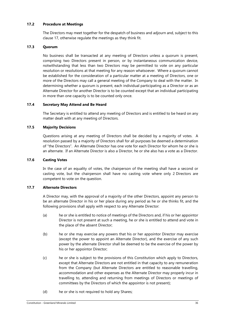# **17.2 Procedure at Meetings**

The Directors may meet together for the despatch of business and adjourn and, subject to this clause [17,](#page-34-0) otherwise regulate the meetings as they think fit.

# **17.3 Quorum**

No business shall be transacted at any meeting of Directors unless a quorum is present, comprising two Directors present in person, or by instantaneous communication device, notwithstanding that less than two Directors may be permitted to vote on any particular resolution or resolutions at that meeting for any reason whatsoever. Where a quorum cannot be established for the consideration of a particular matter at a meeting of Directors, one or more of the Directors may call a general meeting of the Company to deal with the matter. In determining whether a quorum is present, each individual participating as a Director or as an Alternate Director for another Director is to be counted except that an individual participating in more than one capacity is to be counted only once.

# **17.4 Secretary May Attend and Be Heard**

The Secretary is entitled to attend any meeting of Directors and is entitled to be heard on any matter dealt with at any meeting of Directors.

# **17.5 Majority Decisions**

Questions arising at any meeting of Directors shall be decided by a majority of votes. A resolution passed by a majority of Directors shall for all purposes be deemed a determination of "the Directors". An Alternate Director has one vote for each Director for whom he or she is an alternate. If an Alternate Director is also a Director, he or she also has a vote as a Director.

# **17.6 Casting Votes**

In the case of an equality of votes, the chairperson of the meeting shall have a second or casting vote, but the chairperson shall have no casting vote where only 2 Directors are competent to vote on the question.

# <span id="page-35-0"></span>**17.7 Alternate Directors**

A Director may, with the approval of a majority of the other Directors, appoint any person to be an alternate Director in his or her place during any period as he or she thinks fit, and the following provisions shall apply with respect to any Alternate Director:

- (a) he or she is entitled to notice of meetings of the Directors and, if his or her appointor Director is not present at such a meeting, he or she is entitled to attend and vote in the place of the absent Director;
- (b) he or she may exercise any powers that his or her appointor Director may exercise (except the power to appoint an Alternate Director), and the exercise of any such power by the alternate Director shall be deemed to be the exercise of the power by his or her appointor Director;
- (c) he or she is subject to the provisions of this Constitution which apply to Directors, except that Alternate Directors are not entitled in that capacity to any remuneration from the Company (but Alternate Directors are entitled to reasonable travelling, accommodation and other expenses as the Alternate Director may properly incur in travelling to, attending and returning from meetings of Directors or meetings of committees by the Directors of which the appointor is not present);
- (d) he or she is not required to hold any Shares;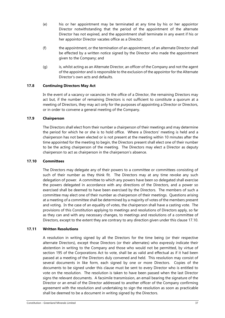- (e) his or her appointment may be terminated at any time by his or her appointor Director notwithstanding that the period of the appointment of the alternate Director has not expired, and the appointment shall terminate in any event if his or her appointor Director vacates office as a Director;
- (f) the appointment, or the termination of an appointment, of an alternate Director shall be effected by a written notice signed by the Director who made the appointment given to the Company; and
- (g) is, whilst acting as an Alternate Director, an officer of the Company and not the agent of the appointor and is responsible to the exclusion of the appointor for the Alternate Director's own acts and defaults.

# **17.8 Continuing Directors May Act**

In the event of a vacancy or vacancies in the office of a Director, the remaining Directors may act but, if the number of remaining Directors is not sufficient to constitute a quorum at a meeting of Directors, they may act only for the purposes of appointing a Director or Directors, or in order to convene a general meeting of the Company.

# **17.9 Chairperson**

The Directors shall elect from their number a chairperson of their meetings and may determine the period for which he or she is to hold office. Where a Directors' meeting is held and a chairperson has not been elected or is not present at the meeting within 10 minutes after the time appointed for the meeting to begin, the Directors present shall elect one of their number to be the acting chairperson of the meeting. The Directors may elect a Director as deputy chairperson to act as chairperson in the chairperson's absence.

# <span id="page-36-0"></span>**17.10 Committees**

The Directors may delegate any of their powers to a committee or committees consisting of such of their number as they think fit. The Directors may at any time revoke any such delegation of power. A committee to which any powers have been so delegated shall exercise the powers delegated in accordance with any directions of the Directors, and a power so exercised shall be deemed to have been exercised by the Directors. The members of such a committee may elect one of their number as chairperson of their meetings. Questions arising at a meeting of a committee shall be determined by a majority of votes of the members present and voting. In the case of an equality of votes, the chairperson shall have a casting vote. The provisions of this Constitution applying to meetings and resolutions of Directors apply, so far as they can and with any necessary changes, to meetings and resolutions of a committee of Directors, except to the extent they are contrary to any direction given under this claus[e 17.10.](#page-36-0)

# **17.11 Written Resolutions**

A resolution in writing signed by all the Directors for the time being (or their respective alternate Directors), except those Directors (or their alternates) who expressly indicate their abstention in writing to the Company and those who would not be permitted, by virtue of section 195 of the Corporations Act to vote, shall be as valid and effectual as if it had been passed at a meeting of the Directors duly convened and held. This resolution may consist of several documents in like form, each signed by one or more Directors. Copies of the documents to be signed under this clause must be sent to every Director who is entitled to vote on the resolution. The resolution is taken to have been passed when the last Director signs the relevant documents. A facsimile transmission, an email bearing the signature of the Director or an email of the Director addressed to another officer of the Company confirming agreement with the resolution and undertaking to sign the resolution as soon as practicable shall be deemed to be a document in writing signed by the Directors.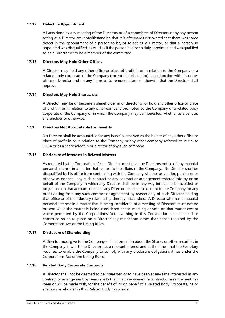# **17.12 Defective Appointment**

All acts done by any meeting of the Directors or of a committee of Directors or by any person acting as a Director are, notwithstanding that it is afterwards discovered that there was some defect in the appointment of a person to be, or to act as, a Director, or that a person so appointed was disqualified, as valid as if the person had been duly appointed and was qualified to be a Director or to be a member of the committee.

# **17.13 Directors May Hold Other Offices**

A Director may hold any other office or place of profit in or in relation to the Company or a related body corporate of the Company (except that of auditor) in conjunction with his or her office of Director and on any terms as to remuneration or otherwise that the Directors shall approve.

# <span id="page-37-0"></span>**17.14 Directors May Hold Shares, etc.**

A Director may be or become a shareholder in or director of or hold any other office or place of profit in or in relation to any other company promoted by the Company or a related body corporate of the Company or in which the Company may be interested, whether as a vendor, shareholder or otherwise.

# **17.15 Directors Not Accountable for Benefits**

No Director shall be accountable for any benefits received as the holder of any other office or place of profit in or in relation to the Company or any other company referred to in clause [17.14](#page-37-0) or as a shareholder in or director of any such company.

# **17.16 Disclosure of Interests in Related Matters**

As required by the Corporations Act, a Director must give the Directors notice of any material personal interest in a matter that relates to the affairs of the Company. No Director shall be disqualified by his office from contracting with the Company whether as vendor, purchaser or otherwise, nor shall any such contract or any contract or arrangement entered into by or on behalf of the Company in which any Director shall be in any way interested be avoided or prejudiced on that account, nor shall any Director be liable to account to the Company for any profit arising from any such contract or agreement by reason only of such Director holding that office or of the fiduciary relationship thereby established. A Director who has a material personal interest in a matter that is being considered at a meeting of Directors must not be present while the matter is being considered at the meeting or vote on that matter except where permitted by the Corporations Act. Nothing in this Constitution shall be read or construed so as to place on a Director any restrictions other than those required by the Corporations Act or the Listing Rules.

# **17.17 Disclosure of Shareholding**

A Director must give to the Company such information about the Shares or other securities in the Company in which the Director has a relevant interest and at the times that the Secretary requires, to enable the Company to comply with any disclosure obligations it has under the Corporations Act or the Listing Rules.

# **17.18 Related Body Corporate Contracts**

A Director shall not be deemed to be interested or to have been at any time interested in any contract or arrangement by reason only that in a case where the contract or arrangement has been or will be made with, for the benefit of, or on behalf of a Related Body Corporate, he or she is a shareholder in that Related Body Corporate.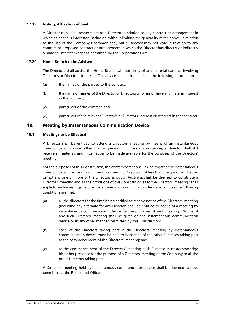# **17.19 Voting, Affixation of Seal**

A Director may in all respects act as a Director in relation to any contract or arrangement in which he or she is interested, including, without limiting the generality of the above, in relation to the use of the Company's common seal, but a Director may not vote in relation to any contract or proposed contract or arrangement in which the Director has directly or indirectly a material interest except as permitted by the Corporations Act.

# **17.20 Home Branch to be Advised**

The Directors shall advise the Home Branch without delay of any material contract involving Director's or Directors' interests. The advice shall include at least the following information:

- (a) the names of the parties to the contract;
- (b) the name or names of the Director or Directors who has or have any material interest in the contract;
- (c) particulars of the contract; and
- (d) particulars of the relevant Director's or Directors' interest or interests in that contract.

#### 18. **Meeting by Instantaneous Communication Device**

# <span id="page-38-0"></span>**18.1 Meetings to be Effectual**

A Director shall be entitled to attend a Directors' meeting by means of an instantaneous communication device rather than in person. In those circumstances, a Director shall still receive all materials and information to be made available for the purposes of the Directors' meeting.

For the purposes of this Constitution, the contemporaneous linking together by instantaneous communication device of a number of consenting Directors not less than the quorum, whether or not any one or more of the Directors is out of Australia, shall be deemed to constitute a Directors' meeting and all the provisions of this Constitution as to the Directors' meetings shall apply to such meetings held by instantaneous communication device so long as the following conditions are met:

- (a) all the directors for the time being entitled to receive notice of the Directors' meeting (including any alternate for any Director) shall be entitled to notice of a meeting by instantaneous communication device for the purposes of such meeting. Notice of any such Directors' meeting shall be given on the instantaneous communication device or in any other manner permitted by this Constitution;
- (b) each of the Directors taking part in the Directors' meeting by instantaneous communication device must be able to hear each of the other Directors taking part at the commencement of the Directors' meeting; and
- (c) at the commencement of the Directors' meeting each Director must acknowledge his or her presence for the purpose of a Directors' meeting of the Company to all the other Directors taking part.

A Directors' meeting held by instantaneous communication device shall be deemed to have been held at the Registered Office.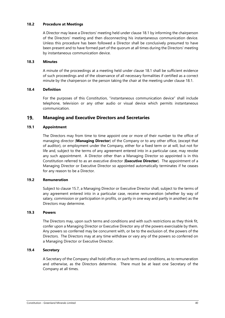# **18.2 Procedure at Meetings**

A Director may leave a Directors' meeting held under claus[e 18.1](#page-38-0) by informing the chairperson of the Directors' meeting and then disconnecting his instantaneous communication device. Unless this procedure has been followed a Director shall be conclusively presumed to have been present and to have formed part of the quorum at all times during the Directors' meeting by instantaneous communication device.

# **18.3 Minutes**

A minute of the proceedings at a meeting held under clause [18.1](#page-38-0) shall be sufficient evidence of such proceedings and of the observance of all necessary formalities if certified as a correct minute by the chairperson or the person taking the chair at the meeting under clause [18.1.](#page-38-0)

# **18.4 Definition**

For the purposes of this Constitution, "instantaneous communication device" shall include telephone, television or any other audio or visual device which permits instantaneous communication.

#### 19. **Managing and Executive Directors and Secretaries**

# **19.1 Appointment**

The Directors may from time to time appoint one or more of their number to the office of managing director (**Managing Director**) of the Company or to any other office, (except that of auditor), or employment under the Company, either for a fixed term or at will, but not for life and, subject to the terms of any agreement entered into in a particular case, may revoke any such appointment. A Director other than a Managing Director so appointed is in this Constitution referred to as an executive director (**Executive Director**). The appointment of a Managing Director or Executive Director so appointed automatically terminates if he ceases for any reason to be a Director.

# **19.2 Remuneration**

Subject to clause [15.7,](#page-32-3) a Managing Director or Executive Director shall, subject to the terms of any agreement entered into in a particular case, receive remuneration (whether by way of salary, commission or participation in profits, or partly in one way and partly in another) as the Directors may determine.

# **19.3 Powers**

The Directors may, upon such terms and conditions and with such restrictions as they think fit, confer upon a Managing Director or Executive Director any of the powers exercisable by them. Any powers so conferred may be concurrent with, or be to the exclusion of, the powers of the Directors. The Directors may at any time withdraw or vary any of the powers so conferred on a Managing Director or Executive Director.

# **19.4 Secretary**

A Secretary of the Company shall hold office on such terms and conditions, as to remuneration and otherwise, as the Directors determine. There must be at least one Secretary of the Company at all times.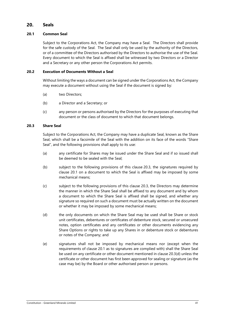#### $20.$ **Seals**

# <span id="page-40-1"></span>**20.1 Common Seal**

Subject to the Corporations Act, the Company may have a Seal. The Directors shall provide for the safe custody of the Seal. The Seal shall only be used by the authority of the Directors, or of a committee of the Directors authorised by the Directors to authorise the use of the Seal. Every document to which the Seal is affixed shall be witnessed by two Directors or a Director and a Secretary or any other person the Corporations Act permits.

# **20.2 Execution of Documents Without a Seal**

Without limiting the ways a document can be signed under the Corporations Act, the Company may execute a document without using the Seal if the document is signed by:

- (a) two Directors;
- (b) a Director and a Secretary; or
- (c) any person or persons authorised by the Directors for the purposes of executing that document or the class of document to which that document belongs.

# <span id="page-40-0"></span>**20.3 Share Seal**

Subject to the Corporations Act, the Company may have a duplicate Seal, known as the Share Seal, which shall be a facsimile of the Seal with the addition on its face of the words "Share Seal", and the following provisions shall apply to its use:

- (a) any certificate for Shares may be issued under the Share Seal and if so issued shall be deemed to be sealed with the Seal;
- (b) subject to the following provisions of this clause [20.3,](#page-40-0) the signatures required by clause [20.1](#page-40-1) on a document to which the Seal is affixed may be imposed by some mechanical means;
- (c) subject to the following provisions of this clause [20.3,](#page-40-0) the Directors may determine the manner in which the Share Seal shall be affixed to any document and by whom a document to which the Share Seal is affixed shall be signed, and whether any signature so required on such a document must be actually written on the document or whether it may be imposed by some mechanical means;
- <span id="page-40-2"></span>(d) the only documents on which the Share Seal may be used shall be Share or stock unit certificates, debentures or certificates of debenture stock, secured or unsecured notes, option certificates and any certificates or other documents evidencing any Share Options or rights to take up any Shares in or debenture stock or debentures or notes of the Company; and
- (e) signatures shall not be imposed by mechanical means nor (except when the requirements of clause [20.1](#page-40-1) as to signatures are complied with) shall the Share Seal be used on any certificate or other document mentioned in clause [20.3\(d\)](#page-40-2) unless the certificate or other document has first been approved for sealing or signature (as the case may be) by the Board or other authorised person or persons.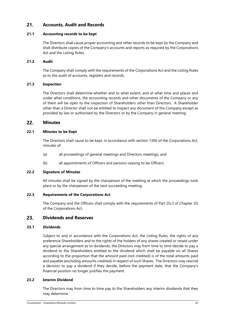#### $21.$ **Accounts, Audit and Records**

# **21.1 Accounting records to be kept**

The Directors shall cause proper accounting and other records to be kept by the Company and shall distribute copies of the Company's accounts and reports as required by the Corporations Act and the Listing Rules.

# **21.2 Audit**

The Company shall comply with the requirements of the Corporations Act and the Listing Rules as to the audit of accounts, registers and records.

# **21.3 Inspection**

The Directors shall determine whether and to what extent, and at what time and places and under what conditions, the accounting records and other documents of the Company or any of them will be open to the inspection of Shareholders other than Directors. A Shareholder other than a Director shall not be entitled to inspect any document of the Company except as provided by law or authorised by the Directors or by the Company in general meeting.

#### $22.$ **Minutes**

# **22.1 Minutes to be Kept**

The Directors shall cause to be kept, in accordance with section 1306 of the Corporations Act, minutes of:

- (a) all proceedings of general meetings and Directors meetings; and
- (b) all appointments of Officers and persons ceasing to be Officers.

# **22.2 Signature of Minutes**

All minutes shall be signed by the chairperson of the meeting at which the proceedings took place or by the chairperson of the next succeeding meeting.

# **22.3 Requirements of the Corporations Act**

The Company and the Officers shall comply with the requirements of Part 2G.3 of Chapter 2G of the Corporations Act.

#### <span id="page-41-0"></span>23. **Dividends and Reserves**

# **23.1 Dividends**

Subject to and in accordance with the Corporations Act, the Listing Rules, the rights of any preference Shareholders and to the rights of the holders of any shares created or raised under any special arrangement as to dividends, the Directors may from time to time decide to pay a dividend to the Shareholders entitled to the dividend which shall be payable on all Shares according to the proportion that the amount paid (not credited) is of the total amounts paid and payable (excluding amounts credited) in respect of such Shares. The Directors may rescind a decision to pay a dividend if they decide, before the payment date, that the Company's financial position no longer justifies the payment.

# **23.2 Interim Dividend**

The Directors may from time to time pay to the Shareholders any interim dividends that they may determine.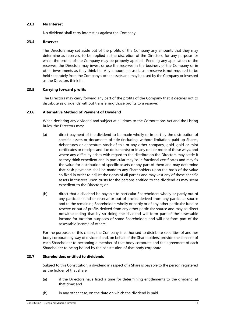# **23.3 No Interest**

No dividend shall carry interest as against the Company.

# **23.4 Reserves**

The Directors may set aside out of the profits of the Company any amounts that they may determine as reserves, to be applied at the discretion of the Directors, for any purpose for which the profits of the Company may be properly applied. Pending any application of the reserves, the Directors may invest or use the reserves in the business of the Company or in other investments as they think fit. Any amount set aside as a reserve is not required to be held separately from the Company's other assets and may be used by the Company or invested as the Directors think fit.

# **23.5 Carrying forward profits**

The Directors may carry forward any part of the profits of the Company that it decides not to distribute as dividends without transferring those profits to a reserve.

# **23.6 Alternative Method of Payment of Dividend**

When declaring any dividend and subject at all times to the Corporations Act and the Listing Rules, the Directors may:

- (a) direct payment of the dividend to be made wholly or in part by the distribution of specific assets or documents of title (including, without limitation, paid-up Shares, debentures or debenture stock of this or any other company, gold, gold or mint certificates or receipts and like documents) or in any one or more of these ways, and where any difficulty arises with regard to the distribution the Directors may settle it as they think expedient and in particular may issue fractional certificates and may fix the value for distribution of specific assets or any part of them and may determine that cash payments shall be made to any Shareholders upon the basis of the value so fixed in order to adjust the rights of all parties and may vest any of these specific assets in trustees upon trusts for the persons entitled to the dividend as may seem expedient to the Directors; or
- (b) direct that a dividend be payable to particular Shareholders wholly or partly out of any particular fund or reserve or out of profits derived from any particular source and to the remaining Shareholders wholly or partly or of any other particular fund or reserve or out of profits derived from any other particular source and may so direct notwithstanding that by so doing the dividend will form part of the assessable income for taxation purposes of some Shareholders and will not form part of the assessable income of others.

For the purposes of this clause, the Company is authorised to distribute securities of another body corporate by way of dividend and, on behalf of the Shareholders, provide the consent of each Shareholder to becoming a member of that body corporate and the agreement of each Shareholder to being bound by the constitution of that body corporate.

# **23.7 Shareholders entitled to dividends**

Subject to this Constitution, a dividend in respect of a Share is payable to the person registered as the holder of that share:

- (a) if the Directors have fixed a time for determining entitlements to the dividend, at that time; and
- (b) in any other case, on the date on which the dividend is paid.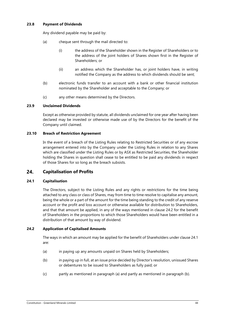# **23.8 Payment of Dividends**

Any dividend payable may be paid by:

- (a) cheque sent through the mail directed to:
	- (i) the address of the Shareholder shown in the Register of Shareholders or to the address of the joint holders of Shares shown first in the Register of Shareholders; or
	- (ii) an address which the Shareholder has, or joint holders have, in writing notified the Company as the address to which dividends should be sent;
- (b) electronic funds transfer to an account with a bank or other financial institution nominated by the Shareholder and acceptable to the Company; or
- (c) any other means determined by the Directors.

# **23.9 Unclaimed Dividends**

Except as otherwise provided by statute, all dividends unclaimed for one year after having been declared may be invested or otherwise made use of by the Directors for the benefit of the Company until claimed.

# **23.10 Breach of Restriction Agreement**

In the event of a breach of the Listing Rules relating to Restricted Securities or of any escrow arrangement entered into by the Company under the Listing Rules in relation to any Shares which are classified under the Listing Rules or by ASX as Restricted Securities, the Shareholder holding the Shares in question shall cease to be entitled to be paid any dividends in respect of those Shares for so long as the breach subsists.

#### 24. **Capitalisation of Profits**

# <span id="page-43-0"></span>**24.1 Capitalisation**

The Directors, subject to the Listing Rules and any rights or restrictions for the time being attached to any class or class of Shares, may from time to time resolve to capitalise any amount, being the whole or a part of the amount for the time being standing to the credit of any reserve account or the profit and loss account or otherwise available for distribution to Shareholders, and that that amount be applied, in any of the ways mentioned in clause [24.2](#page-43-1) for the benefit of Shareholders in the proportions to which those Shareholders would have been entitled in a distribution of that amount by way of dividend.

# <span id="page-43-1"></span>**24.2 Application of Capitalised Amounts**

The ways in which an amount may be applied for the benefit of Shareholders under clause [24.1](#page-43-0) are:

- <span id="page-43-2"></span>(a) in paying up any amounts unpaid on Shares held by Shareholders;
- <span id="page-43-3"></span>(b) in paying up in full, at an issue price decided by Director's resolution, unissued Shares or debentures to be issued to Shareholders as fully paid; or
- (c) partly as mentioned in paragraph [\(a\)](#page-43-2) and partly as mentioned in paragraph [\(b\).](#page-43-3)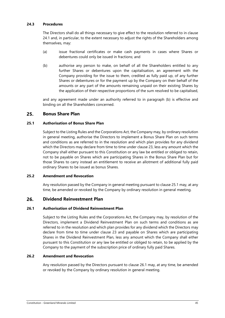# **24.3 Procedures**

The Directors shall do all things necessary to give effect to the resolution referred to in clause [24.1](#page-43-0) and, in particular, to the extent necessary to adjust the rights of the Shareholders among themselves, may:

- (a) issue fractional certificates or make cash payments in cases where Shares or debentures could only be issued in fractions; and
- <span id="page-44-2"></span>(b) authorise any person to make, on behalf of all the Shareholders entitled to any further Shares or debentures upon the capitalisation, an agreement with the Company providing for the issue to them, credited as fully paid up, of any further Shares or debentures or for the payment up by the Company on their behalf of the amounts or any part of the amounts remaining unpaid on their existing Shares by the application of their respective proportions of the sum resolved to be capitalised,

and any agreement made under an authority referred to in paragraph [\(b\)](#page-44-2) is effective and binding on all the Shareholders concerned.

#### <span id="page-44-0"></span> $25.$ **Bonus Share Plan**

# <span id="page-44-3"></span>**25.1 Authorisation of Bonus Share Plan**

Subject to the Listing Rules and the Corporations Act, the Company may, by ordinary resolution in general meeting, authorise the Directors to implement a Bonus Share Plan on such terms and conditions as are referred to in the resolution and which plan provides for any dividend which the Directors may declare from time to time under clause [23,](#page-41-0) less any amount which the Company shall either pursuant to this Constitution or any law be entitled or obliged to retain, not to be payable on Shares which are participating Shares in the Bonus Share Plan but for those Shares to carry instead an entitlement to receive an allotment of additional fully paid ordinary Shares to be issued as bonus Shares.

# **25.2 Amendment and Revocation**

Any resolution passed by the Company in general meeting pursuant to clause [25.1](#page-44-3) may, at any time, be amended or revoked by the Company by ordinary resolution in general meeting.

#### <span id="page-44-1"></span>26. **Dividend Reinvestment Plan**

# <span id="page-44-4"></span>**26.1 Authorisation of Dividend Reinvestment Plan**

Subject to the Listing Rules and the Corporations Act, the Company may, by resolution of the Directors, implement a Dividend Reinvestment Plan on such terms and conditions as are referred to in the resolution and which plan provides for any dividend which the Directors may declare from time to time under clause [23](#page-41-0) and payable on Shares which are participating Shares in the Dividend Reinvestment Plan, less any amount which the Company shall either pursuant to this Constitution or any law be entitled or obliged to retain, to be applied by the Company to the payment of the subscription price of ordinary fully paid Shares.

# **26.2 Amendment and Revocation**

Any resolution passed by the Directors pursuant to clause [26.1](#page-44-4) may, at any time, be amended or revoked by the Company by ordinary resolution in general meeting.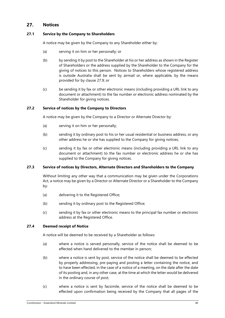#### <span id="page-45-1"></span> $27.$ **Notices**

# <span id="page-45-0"></span>**27.1 Service by the Company to Shareholders**

A notice may be given by the Company to any Shareholder either by:

- (a) serving it on him or her personally; or
- (b) by sending it by post to the Shareholder at his or her address as shown in the Register of Shareholders or the address supplied by the Shareholder to the Company for the giving of notices to this person. Notices to Shareholders whose registered address is outside Australia shall be sent by airmail or, where applicable, by the means provided for by clause [27.9;](#page-46-0) or
- (c) be sending it by fax or other electronic means (including providing a URL link to any document or attachment) to the fax number or electronic address nominated by the Shareholder for giving notices.

# **27.2 Service of notices by the Company to Directors**

A notice may be given by the Company to a Director or Alternate Director by:

- (a) serving it on him or her personally;
- (b) sending it by ordinary post to his or her usual residential or business address, or any other address he or she has supplied to the Company for giving notices;
- (c) sending it by fax or other electronic means (including providing a URL link to any document or attachment) to the fax number or electronic address he or she has supplied to the Company for giving notices.

# **27.3 Service of notices by Directors, Alternate Directors and Shareholders to the Company**

Without limiting any other way that a communication may be given under the Corporations Act, a notice may be given by a Director or Alternate Director or a Shareholder to the Company by:

- (a) delivering it to the Registered Office;
- (b) sending it by ordinary post to the Registered Office;
- (c) sending it by fax or other electronic means to the principal fax number or electronic address at the Registered Office.

# **27.4 Deemed receipt of Notice**

A notice will be deemed to be received by a Shareholder as follows:

- (a) where a notice is served personally, service of the notice shall be deemed to be effected when hand delivered to the member in person;
- (b) where a notice is sent by post, service of the notice shall be deemed to be effected by properly addressing, pre-paying and posting a letter containing the notice, and to have been effected, in the case of a notice of a meeting, on the date after the date of its posting and, in any other case, at the time at which the letter would be delivered in the ordinary course of post;
- (c) where a notice is sent by facsimile, service of the notice shall be deemed to be effected upon confirmation being received by the Company that all pages of the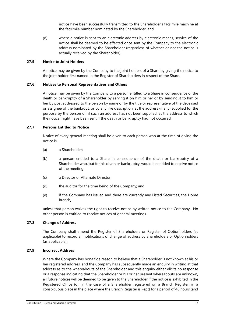notice have been successfully transmitted to the Shareholder's facsimile machine at the facsimile number nominated by the Shareholder; and

(d) where a notice is sent to an electronic address by electronic means, service of the notice shall be deemed to be effected once sent by the Company to the electronic address nominated by the Shareholder (regardless of whether or not the notice is actually received by the Shareholder).

# **27.5 Notice to Joint Holders**

A notice may be given by the Company to the joint holders of a Share by giving the notice to the joint holder first named in the Register of Shareholders in respect of the Share.

#### **27.6 Notices to Personal Representatives and Others**

A notice may be given by the Company to a person entitled to a Share in consequence of the death or bankruptcy of a Shareholder by serving it on him or her or by sending it to him or her by post addressed to the person by name or by the title or representative of the deceased or assignee of the bankrupt, or by any like description, at the address (if any) supplied for the purpose by the person or, if such an address has not been supplied, at the address to which the notice might have been sent if the death or bankruptcy had not occurred.

# **27.7 Persons Entitled to Notice**

Notice of every general meeting shall be given to each person who at the time of giving the notice is:

- (a) a Shareholder;
- (b) a person entitled to a Share in consequence of the death or bankruptcy of a Shareholder who, but for his death or bankruptcy, would be entitled to receive notice of the meeting;
- (c) a Director or Alternate Director;
- (d) the auditor for the time being of the Company; and
- (e) if the Company has issued and there are currently any Listed Securities, the Home Branch,

unless that person waives the right to receive notice by written notice to the Company. No other person is entitled to receive notices of general meetings.

# **27.8 Change of Address**

The Company shall amend the Register of Shareholders or Register of Optionholders (as applicable) to record all notifications of change of address by Shareholders or Optionholders (as applicable).

# <span id="page-46-0"></span>**27.9 Incorrect Address**

Where the Company has bona fide reason to believe that a Shareholder is not known at his or her registered address, and the Company has subsequently made an enquiry in writing at that address as to the whereabouts of the Shareholder and this enquiry either elicits no response or a response indicating that the Shareholder or his or her present whereabouts are unknown, all future notices will be deemed to be given to the Shareholder if the notice is exhibited in the Registered Office (or, in the case of a Shareholder registered on a Branch Register, in a conspicuous place in the place where the Branch Register is kept) for a period of 48 hours (and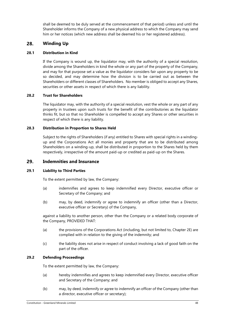shall be deemed to be duly served at the commencement of that period) unless and until the Shareholder informs the Company of a new physical address to which the Company may send him or her notices (which new address shall be deemed his or her registered address).

#### 28. **Winding Up**

# **28.1 Distribution in Kind**

If the Company is wound up, the liquidator may, with the authority of a special resolution, divide among the Shareholders in kind the whole or any part of the property of the Company, and may for that purpose set a value as the liquidator considers fair upon any property to be so decided, and may determine how the division is to be carried out as between the Shareholders or different classes of Shareholders. No member is obliged to accept any Shares, securities or other assets in respect of which there is any liability.

# **28.2 Trust for Shareholders**

The liquidator may, with the authority of a special resolution, vest the whole or any part of any property in trustees upon such trusts for the benefit of the contributories as the liquidator thinks fit, but so that no Shareholder is compelled to accept any Shares or other securities in respect of which there is any liability.

# **28.3 Distribution in Proportion to Shares Held**

Subject to the rights of Shareholders (if any) entitled to Shares with special rights in a windingup and the Corporations Act all monies and property that are to be distributed among Shareholders on a winding-up, shall be distributed in proportion to the Shares held by them respectively, irrespective of the amount paid-up or credited as paid-up on the Shares.

#### <span id="page-47-0"></span> $29.$ **Indemnities and Insurance**

# **29.1 Liability to Third Parties**

To the extent permitted by law, the Company:

- (a) indemnifies and agrees to keep indemnified every Director, executive officer or Secretary of the Company; and
- (b) may, by deed, indemnify or agree to indemnify an officer (other than a Director, executive officer or Secretary) of the Company,

against a liability to another person, other than the Company or a related body corporate of the Company, PROVIDED THAT:

- (a) the provisions of the Corporations Act (including, but not limited to, Chapter 2E) are complied with in relation to the giving of the indemnity; and
- (c) the liability does not arise in respect of conduct involving a lack of good faith on the part of the officer.

# **29.2 Defending Proceedings**

To the extent permitted by law, the Company:

- (a) hereby indemnifies and agrees to keep indemnified every Director, executive officer and Secretary of the Company; and
- (b) may, by deed, indemnify or agree to indemnify an officer of the Company (other than a director, executive officer or secretary);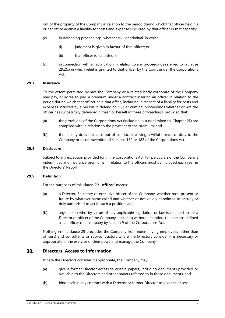out of the property of the Company in relation to the period during which that officer held his or her office against a liability for costs and expenses incurred by that officer in that capacity:

- <span id="page-48-0"></span>(c) in defending proceedings, whether civil or criminal, in which:
	- (i) judgment is given in favour of that officer; or
	- (ii) that officer is acquitted; or
- (d) in connection with an application in relation to any proceedings referred to in clause [29.2\(c\)](#page-48-0) in which relief is granted to that officer by the Court under the Corporations Act.

# **29.3 Insurance**

To the extent permitted by law, the Company or a related body corporate of the Company may pay, or agree to pay, a premium under a contract insuring an officer in relation to the period during which that officer held that office, including in respect of a liability for costs and expenses incurred by a person in defending civil or criminal proceedings whether or not the officer has successfully defended himself or herself in these proceedings, provided that:

- (a) the provisions of the Corporations Act (including, but not limited to, Chapter 2E) are complied with in relation to the payment of the premium; and
- (b) the liability does not arise out of conduct involving a wilful breach of duty to the Company or a contravention of sections 182 or 183 of the Corporations Act.

# **29.4 Disclosure**

Subject to any exception provided for in the Corporations Act, full particulars of the Company's indemnities and insurance premiums in relation to the officers must be included each year in the Directors' Report.

# **29.5 Definition**

For the purposes of this clause [29,](#page-47-0) "**office**r" means:

- (a) a Director, Secretary or executive officer of the Company, whether past, present or future by whatever name called and whether or not validly appointed to occupy or duly authorised to act in such a position; and
- (b) any person who by virtue of any applicable legislation or law is deemed to be a Director or officer of the Company, including without limitation, the persons defined as an officer of a company by section 9 of the Corporations Act.

Nothing in this clause [29](#page-47-0) precludes the Company from indemnifying employees (other than officers) and consultants or sub-contractors where the Directors consider it is necessary or appropriate in the exercise of their powers to manage the Company.

#### $30<sub>1</sub>$ **Directors' Access to Information**

Where the Directors consider it appropriate, the Company may:

- (a) give a former Director access to certain papers, including documents provided or available to the Directors and other papers referred to in those documents; and
- (b) bind itself in any contract with a Director or former Director to give the access.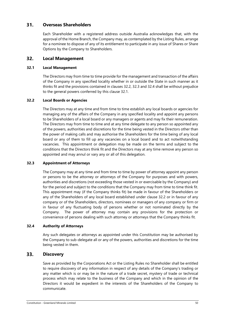#### $31.$ **Overseas Shareholders**

Each Shareholder with a registered address outside Australia acknowledges that, with the approval of the Home Branch, the Company may, as contemplated by the Listing Rules, arrange for a nominee to dispose of any of its entitlement to participate in any issue of Shares or Share Options by the Company to Shareholders.

#### $32.$ **Local Management**

# <span id="page-49-3"></span>**32.1 Local Management**

The Directors may from time to time provide for the management and transaction of the affairs of the Company in any specified locality whether in or outside the State in such manner as it thinks fit and the provisions contained in clauses [32.2,](#page-49-0) [32.3](#page-49-1) an[d 32.4](#page-49-2) shall be without prejudice to the general powers conferred by this clause [32.1.](#page-49-3)

# <span id="page-49-0"></span>**32.2 Local Boards or Agencies**

The Directors may at any time and from time to time establish any local boards or agencies for managing any of the affairs of the Company in any specified locality and appoint any persons to be Shareholders of a local board or any managers or agents and may fix their remuneration. The Directors may from time to time and at any time delegate to any person so appointed any of the powers, authorities and discretions for the time being vested in the Directors other than the power of making calls and may authorise the Shareholders for the time being of any local board or any of them to fill up any vacancies on a local board and to act notwithstanding vacancies. This appointment or delegation may be made on the terms and subject to the conditions that the Directors think fit and the Directors may at any time remove any person so appointed and may annul or vary any or all of this delegation.

# <span id="page-49-1"></span>**32.3 Appointment of Attorneys**

The Company may at any time and from time to time by power of attorney appoint any person or persons to be the attorney or attorneys of the Company for purposes and with powers, authorities and discretions (not exceeding those vested in or exercisable by the Company) and for the period and subject to the conditions that the Company may from time to time think fit. This appointment may (if the Company thinks fit) be made in favour of the Shareholders or any of the Shareholders of any local board established under clause [32.2](#page-49-0) or in favour of any company or of the Shareholders, directors, nominees or managers of any company or firm or in favour of any fluctuating body of persons whether or not nominated directly by the Company. The power of attorney may contain any provisions for the protection or convenience of persons dealing with such attorney or attorneys that the Company thinks fit.

# <span id="page-49-2"></span>**32.4 Authority of Attorneys**

Any such delegates or attorneys as appointed under this Constitution may be authorised by the Company to sub-delegate all or any of the powers, authorities and discretions for the time being vested in them.

#### 33. **Discovery**

Save as provided by the Corporations Act or the Listing Rules no Shareholder shall be entitled to require discovery of any information in respect of any details of the Company's trading or any matter which is or may be in the nature of a trade secret, mystery of trade or technical process which may relate to the business of the Company and which in the opinion of the Directors it would be expedient in the interests of the Shareholders of the Company to communicate.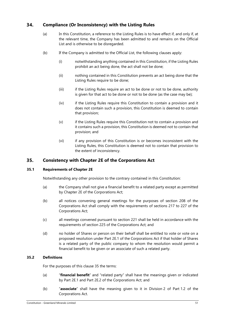#### <span id="page-50-0"></span>34. **Compliance (Or Inconsistency) with the Listing Rules**

- (a) In this Constitution, a reference to the Listing Rules is to have effect if, and only if, at the relevant time, the Company has been admitted to and remains on the Official List and is otherwise to be disregarded.
- (b) If the Company is admitted to the Official List, the following clauses apply:
	- (i) notwithstanding anything contained in this Constitution, if the Listing Rules prohibit an act being done, the act shall not be done;
	- (ii) nothing contained in this Constitution prevents an act being done that the Listing Rules require to be done;
	- (iii) if the Listing Rules require an act to be done or not to be done, authority is given for that act to be done or not to be done (as the case may be);
	- (iv) if the Listing Rules require this Constitution to contain a provision and it does not contain such a provision, this Constitution is deemed to contain that provision;
	- (v) if the Listing Rules require this Constitution not to contain a provision and it contains such a provision, this Constitution is deemed not to contain that provision; and
	- (vi) if any provision of this Constitution is or becomes inconsistent with the Listing Rules, this Constitution is deemed not to contain that provision to the extent of inconsistency.

#### <span id="page-50-1"></span>35. **Consistency with Chapter 2E of the Corporations Act**

# **35.1 Requirements of Chapter 2E**

Notwithstanding any other provision to the contrary contained in this Constitution:

- (a) the Company shall not give a financial benefit to a related party except as permitted by Chapter 2E of the Corporations Act;
- (b) all notices convening general meetings for the purposes of section 208 of the Corporations Act shall comply with the requirements of sections 217 to 227 of the Corporations Act;
- (c) all meetings convened pursuant to section 221 shall be held in accordance with the requirements of section 225 of the Corporations Act; and
- (d) no holder of Shares or person on their behalf shall be entitled to vote or vote on a proposed resolution under Part 2E.1 of the Corporations Act if that holder of Shares is a related party of the public company to whom the resolution would permit a financial benefit to be given or an associate of such a related party.

# **35.2 Definitions**

For the purposes of this clause [35](#page-50-1) the terms:

- (a) "**financial benefit**" and "related party" shall have the meanings given or indicated by Part 2E.1 and Part 2E.2 of the Corporations Act; and
- (b) "**associate**" shall have the meaning given to it in Division 2 of Part 1.2 of the Corporations Act.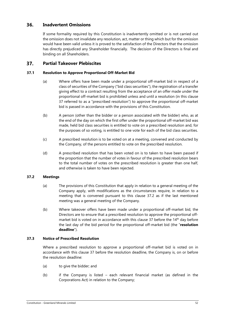#### 36. **Inadvertent Omissions**

If some formality required by this Constitution is inadvertently omitted or is not carried out the omission does not invalidate any resolution, act, matter or thing which but for the omission would have been valid unless it is proved to the satisfaction of the Directors that the omission has directly prejudiced any Shareholder financially. The decision of the Directors is final and binding on all Shareholders.

#### <span id="page-51-0"></span>37. **Partial Takeover Plebiscites**

# **37.1 Resolution to Approve Proportional Off-Market Bid**

- (a) Where offers have been made under a proportional off-market bid in respect of a class of securities of the Company ("bid class securities"), the registration of a transfer giving effect to a contract resulting from the acceptance of an offer made under the proportional off-market bid is prohibited unless and until a resolution (in this clause [37](#page-51-0) referred to as a "prescribed resolution") to approve the proportional off-market bid is passed in accordance with the provisions of this Constitution.
- (b) A person (other than the bidder or a person associated with the bidder) who, as at the end of the day on which the first offer under the proportional off-market bid was made, held bid class securities is entitled to vote on a prescribed resolution and, for the purposes of so voting, is entitled to one vote for each of the bid class securities.
- (c) A prescribed resolution is to be voted on at a meeting, convened and conducted by the Company, of the persons entitled to vote on the prescribed resolution.
- (d) A prescribed resolution that has been voted on is to taken to have been passed if the proportion that the number of votes in favour of the prescribed resolution bears to the total number of votes on the prescribed resolution is greater than one half, and otherwise is taken to have been rejected.

# <span id="page-51-1"></span>**37.2 Meetings**

- (a) The provisions of this Constitution that apply in relation to a general meeting of the Company apply, with modifications as the circumstances require, in relation to a meeting that is convened pursuant to this clause [37.2](#page-51-1) as if the last mentioned meeting was a general meeting of the Company.
- (b) Where takeover offers have been made under a proportional off-market bid, the Directors are to ensure that a prescribed resolution to approve the proportional off-market bid is voted on in accordance with this clause [37](#page-51-0) before the 14<sup>th</sup> day before the last day of the bid period for the proportional off-market bid (the "**resolution deadline**").

# **37.3 Notice of Prescribed Resolution**

Where a prescribed resolution to approve a proportional off-market bid is voted on in accordance with this clause [37](#page-51-0) before the resolution deadline, the Company is, on or before the resolution deadline:

- (a) to give the bidder; and
- (b) if the Company is listed each relevant financial market (as defined in the Corporations Act) in relation to the Company;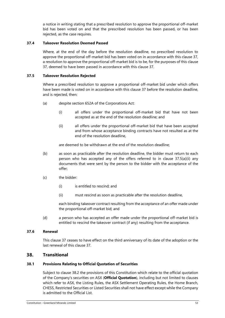a notice in writing stating that a prescribed resolution to approve the proportional off-market bid has been voted on and that the prescribed resolution has been passed, or has been rejected, as the case requires.

# **37.4 Takeover Resolution Deemed Passed**

Where, at the end of the day before the resolution deadline, no prescribed resolution to approve the proportional off-market bid has been voted on in accordance with this clause [37,](#page-51-0) a resolution to approve the proportional off-market bid is to be, for the purposes of this clause [37,](#page-51-0) deemed to have been passed in accordance with this clause [37.](#page-51-0)

# **37.5 Takeover Resolution Rejected**

Where a prescribed resolution to approve a proportional off-market bid under which offers have been made is voted on in accordance with this clause [37](#page-51-0) before the resolution deadline, and is rejected, then:

- <span id="page-52-0"></span>(a) despite section 652A of the Corporations Act:
	- (i) all offers under the proportional off-market bid that have not been accepted as at the end of the resolution deadline; and
	- (ii) all offers under the proportional off-market bid that have been accepted and from whose acceptance binding contracts have not resulted as at the end of the resolution deadline,

are deemed to be withdrawn at the end of the resolution deadline;

- (b) as soon as practicable after the resolution deadline, the bidder must return to each person who has accepted any of the offers referred to in clause [37.5\(a\)\(ii\)](#page-52-0) any documents that were sent by the person to the bidder with the acceptance of the offer;
- (c) the bidder:
	- (i) is entitled to rescind; and
	- (ii) must rescind as soon as practicable after the resolution deadline,

each binding takeover contract resulting from the acceptance of an offer made under the proportional off-market bid; and

(d) a person who has accepted an offer made under the proportional off-market bid is entitled to rescind the takeover contract (if any) resulting from the acceptance.

# **37.6 Renewal**

This clause [37](#page-51-0) ceases to have effect on the third anniversary of its date of the adoption or the last renewal of this clause [37.](#page-51-0)

#### 38. **Transitional**

# <span id="page-52-1"></span>**38.1 Provisions Relating to Official Quotation of Securities**

Subject to clause [38.2](#page-53-0) the provisions of this Constitution which relate to the official quotation of the Company's securities on ASX (**Official Quotation**), including but not limited to clauses which refer to ASX, the Listing Rules, the ASX Settlement Operating Rules, the Home Branch, CHESS, Restricted Securities or Listed Securities shall not have effect except while the Company is admitted to the Official List.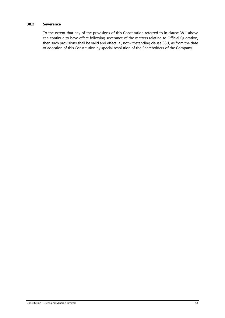# <span id="page-53-0"></span>**38.2 Severance**

To the extent that any of the provisions of this Constitution referred to in clause [38.1](#page-52-1) above can continue to have effect following severance of the matters relating to Official Quotation, then such provisions shall be valid and effectual, notwithstanding clause [38.1,](#page-52-1) as from the date of adoption of this Constitution by special resolution of the Shareholders of the Company.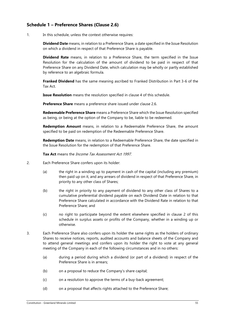# **Schedule 1 – Preference Shares (Clause [2.6\)](#page-5-3)**

1. In this schedule, unless the context otherwise requires:

**Dividend Date** means, in relation to a Preference Share, a date specified in the Issue Resolution on which a dividend in respect of that Preference Share is payable.

**Dividend Rate** means, in relation to a Preference Share, the term specified in the Issue Resolution for the calculation of the amount of dividend to be paid in respect of that Preference Share on any Dividend Date, which calculation may be wholly or partly established by reference to an algebraic formula.

**Franked Dividend** has the same meaning ascribed to Franked Distribution in Part 3-6 of the Tax Act.

**Issue Resolution** means the resolution specified in clause 4 of this schedule.

**Preference Share** means a preference share issued under clause [2.6.](#page-5-3)

**Redeemable Preference Share** means a Preference Share which the Issue Resolution specified as being, or being at the option of the Company to be, liable to be redeemed.

**Redemption Amount** means, in relation to a Redeemable Preference Share, the amount specified to be paid on redemption of the Redeemable Preference Share.

**Redemption Date** means, in relation to a Redeemable Preference Share, the date specified in the Issue Resolution for the redemption of that Preference Share.

**Tax Act** means the Income Tax Assessment Act 1997.

- <span id="page-54-0"></span>2. Each Preference Share confers upon its holder:
	- (a) the right in a winding up to payment in cash of the capital (including any premium) then paid up on it, and any arrears of dividend in respect of that Preference Share, in priority to any other class of Shares;
	- (b) the right in priority to any payment of dividend to any other class of Shares to a cumulative preferential dividend payable on each Dividend Date in relation to that Preference Share calculated in accordance with the Dividend Rate in relation to that Preference Share; and
	- (c) no right to participate beyond the extent elsewhere specified in clause [2](#page-54-0) of this schedule in surplus assets or profits of the Company, whether in a winding up or otherwise.
- 3. Each Preference Share also confers upon its holder the same rights as the holders of ordinary Shares to receive notices, reports, audited accounts and balance sheets of the Company and to attend general meetings and confers upon its holder the right to vote at any general meeting of the Company in each of the following circumstances and in no others:
	- (a) during a period during which a dividend (or part of a dividend) in respect of the Preference Share is in arrears;
	- (b) on a proposal to reduce the Company's share capital;
	- (c) on a resolution to approve the terms of a buy-back agreement;
	- (d) on a proposal that affects rights attached to the Preference Share;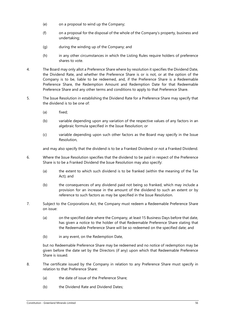- (e) on a proposal to wind up the Company;
- (f) on a proposal for the disposal of the whole of the Company's property, business and undertaking;
- (g) during the winding up of the Company; and
- (h) in any other circumstances in which the Listing Rules require holders of preference shares to vote.
- 4. The Board may only allot a Preference Share where by resolution it specifies the Dividend Date, the Dividend Rate, and whether the Preference Share is or is not, or at the option of the Company is to be, liable to be redeemed, and, if the Preference Share is a Redeemable Preference Share, the Redemption Amount and Redemption Date for that Redeemable Preference Share and any other terms and conditions to apply to that Preference Share.
- 5. The Issue Resolution in establishing the Dividend Rate for a Preference Share may specify that the dividend is to be one of:
	- (a) fixed;
	- (b) variable depending upon any variation of the respective values of any factors in an algebraic formula specified in the Issue Resolution; or
	- (c) variable depending upon such other factors as the Board may specify in the Issue Resolution,

and may also specify that the dividend is to be a Franked Dividend or not a Franked Dividend.

- 6. Where the Issue Resolution specifies that the dividend to be paid in respect of the Preference Share is to be a Franked Dividend the Issue Resolution may also specify:
	- (a) the extent to which such dividend is to be franked (within the meaning of the Tax Act); and
	- (b) the consequences of any dividend paid not being so franked, which may include a provision for an increase in the amount of the dividend to such an extent or by reference to such factors as may be specified in the Issue Resolution.
- 7. Subject to the Corporations Act, the Company must redeem a Redeemable Preference Share on issue:
	- (a) on the specified date where the Company, at least 15 Business Days before that date, has given a notice to the holder of that Redeemable Preference Share stating that the Redeemable Preference Share will be so redeemed on the specified date; and
	- (b) in any event, on the Redemption Date,

but no Redeemable Preference Share may be redeemed and no notice of redemption may be given before the date set by the Directors (if any) upon which that Redeemable Preference Share is issued.

- 8. The certificate issued by the Company in relation to any Preference Share must specify in relation to that Preference Share:
	- (a) the date of issue of the Preference Share;
	- (b) the Dividend Rate and Dividend Dates;